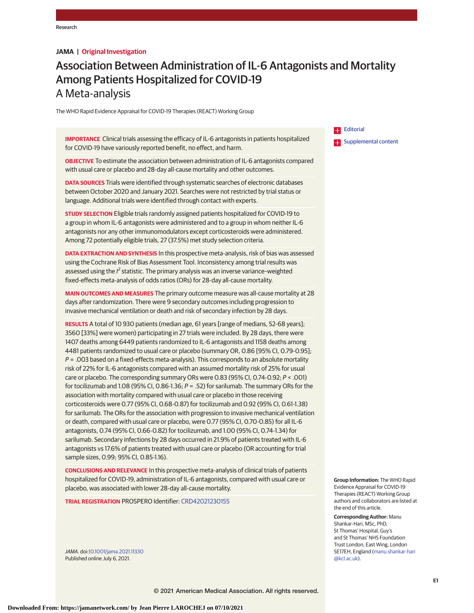#### **JAMA | Original Investigation**

# Association Between Administration of IL-6 Antagonists and Mortality Among Patients Hospitalized for COVID-19 A Meta-analysis

The WHO Rapid Evidence Appraisal for COVID-19 Therapies (REACT) Working Group

**IMPORTANCE** Clinical trials assessing the efficacy of IL-6 antagonists in patients hospitalized for COVID-19 have variously reported benefit, no effect, and harm.

**OBJECTIVE** To estimate the association between administration of IL-6 antagonists compared with usual care or placebo and 28-day all-cause mortality and other outcomes.

**DATA SOURCES** Trials were identified through systematic searches of electronic databases between October 2020 and January 2021. Searches were not restricted by trial status or language. Additional trials were identified through contact with experts.

**STUDY SELECTION** Eligible trials randomly assigned patients hospitalized for COVID-19 to a group in whom IL-6 antagonists were administered and to a group in whom neither IL-6 antagonists nor any other immunomodulators except corticosteroids were administered. Among 72 potentially eligible trials, 27 (37.5%) met study selection criteria.

**DATA EXTRACTION AND SYNTHESIS** In this prospective meta-analysis, risk of bias was assessed using the Cochrane Risk of Bias Assessment Tool. Inconsistency among trial results was assessed using the  $l^2$  statistic. The primary analysis was an inverse variance-weighted fixed-effects meta-analysis of odds ratios (ORs) for 28-day all-cause mortality.

**MAIN OUTCOMES AND MEASURES** The primary outcome measure was all-cause mortality at 28 days after randomization. There were 9 secondary outcomes including progression to invasive mechanical ventilation or death and risk of secondary infection by 28 days.

**RESULTS** A total of 10 930 patients (median age, 61 years [range of medians, 52-68 years]; 3560 [33%] were women) participating in 27 trials were included. By 28 days, there were 1407 deaths among 6449 patients randomized to IL-6 antagonists and 1158 deaths among 4481 patients randomized to usual care or placebo (summary OR, 0.86 [95% CI, 0.79-0.95];  $P = 0.003$  based on a fixed-effects meta-analysis). This corresponds to an absolute mortality risk of 22% for IL-6 antagonists compared with an assumed mortality risk of 25% for usual care or placebo. The corresponding summary ORs were  $0.83$  (95% CI, 0.74-0.92;  $P < .001$ ) for tocilizumab and 1.08 (95% CI, 0.86-1.36;  $P = .52$ ) for sarilumab. The summary ORs for the association with mortality compared with usual care or placebo in those receiving corticosteroids were 0.77 (95% CI, 0.68-0.87) for tocilizumab and 0.92 (95% CI, 0.61-1.38) for sarilumab. The ORs for the association with progression to invasive mechanical ventilation or death, compared with usual care or placebo, were 0.77 (95% CI, 0.70-0.85) for all IL-6 antagonists, 0.74 (95% CI, 0.66-0.82) for tocilizumab, and 1.00 (95% CI, 0.74-1.34) for sarilumab. Secondary infections by 28 days occurred in 21.9% of patients treated with IL-6 antagonists vs 17.6% of patients treated with usual care or placebo (OR accounting for trial sample sizes, 0.99; 95% CI, 0.85-1.16).

**CONCLUSIONS AND RELEVANCE** In this prospective meta-analysis of clinical trials of patients hospitalized for COVID-19, administration of IL-6 antagonists, compared with usual care or placebo, was associated with lower 28-day all-cause mortality.

**TRIAL REGISTRATION** PROSPERO Identifier: CRD42021230155

JAMA. doi:10.1001/jama.2021.11330 Published online July 6, 2021.

**Editorial Examplemental content** 

**Group Information:** The WHO Rapid Evidence Appraisal for COVID-19 Therapies (REACT) Working Group authors and collaborators are listed at the end of this article.

**Corresponding Author:** Manu Shankar-Hari, MSc, PhD, St Thomas' Hospital, Guy's and St Thomas' NHS Foundation Trust London, East Wing, London SE17EH, England (manu.shankar-hari @kcl.ac.uk).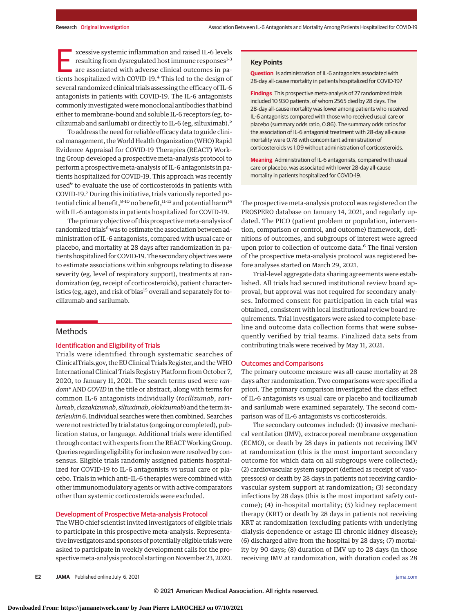E xcessive systemic inflammation and raised IL-6 levels resulting from dysregulated host immune responses<sup>1-3</sup> are associated with adverse clinical outcomes in patients hospitalized with COVID-19.4 This led to the design of several randomized clinical trials assessing the efficacy of IL-6 antagonists in patients with COVID-19. The IL-6 antagonists commonly investigated were monoclonal antibodies that bind either to membrane-bound and soluble IL-6 receptors (eg, tocilizumab and sarilumab) or directly to IL-6 (eg, siltuximab).<sup>5</sup>

To address the need for reliable efficacy data to guide clinical management, theWorld Health Organization (WHO) Rapid Evidence Appraisal for COVID-19 Therapies (REACT) Working Group developed a prospective meta-analysis protocol to perform a prospective meta-analysis of IL-6 antagonists in patients hospitalized for COVID-19. This approach was recently used<sup>6</sup> to evaluate the use of corticosteroids in patients with COVID-19.7 During this initiative, trials variously reported potential clinical benefit,  $8-10$  no benefit,  $11-13$  and potential harm<sup>14</sup> with IL-6 antagonists in patients hospitalized for COVID-19.

The primary objective of this prospective meta-analysis of randomized trials<sup>6</sup> was to estimate the association between administration of IL-6 antagonists, compared with usual care or placebo, and mortality at 28 days after randomization in patients hospitalized for COVID-19. The secondary objectiveswere to estimate associations within subgroups relating to disease severity (eg, level of respiratory support), treatments at randomization (eg, receipt of corticosteroids), patient characteristics (eg, age), and risk of bias<sup>15</sup> overall and separately for tocilizumab and sarilumab.

# Methods

### Identification and Eligibility of Trials

Trials were identified through systematic searches of ClinicalTrials.gov, the EU Clinical Trials Register, and theWHO International Clinical Trials Registry Platform from October 7, 2020, to January 11, 2021. The search terms used were *random\** AND *COVID* in the title or abstract, along with terms for common IL-6 antagonists individually (*tocilizumab*, *sarilumab*, *clazakizumab*, *siltuximab*, *olokizumab*) and the term*interleukin 6*. Individual searches were then combined. Searches were not restricted by trial status (ongoing or completed), publication status, or language. Additional trials were identified through contact with experts from the REACT Working Group. Queries regarding eligibility for inclusion were resolved by consensus. Eligible trials randomly assigned patients hospitalized for COVID-19 to IL-6 antagonists vs usual care or placebo. Trials in which anti–IL-6 therapies were combined with other immunomodulatory agents or with active comparators other than systemic corticosteroids were excluded.

#### Development of Prospective Meta-analysis Protocol

The WHO chief scientist invited investigators of eligible trials to participate in this prospective meta-analysis. Representative investigators and sponsors of potentially eligible trialswere asked to participate in weekly development calls for the prospectivemeta-analysis protocol starting on November 23, 2020.

#### **Key Points**

**Question** Is administration of IL-6 antagonists associated with 28-day all-cause mortality in patients hospitalized for COVID-19?

**Findings** This prospective meta-analysis of 27 randomized trials included 10 930 patients, of whom 2565 died by 28 days. The 28-day all-cause mortality was lower among patients who received IL-6 antagonists compared with those who received usual care or placebo (summary odds ratio, 0.86). The summary odds ratios for the association of IL-6 antagonist treatment with 28-day all-cause mortality were 0.78 with concomitant administration of corticosteroids vs 1.09 without administration of corticosteroids.

**Meaning** Administration of IL-6 antagonists, compared with usual care or placebo, was associated with lower 28-day all-cause mortality in patients hospitalized for COVID-19.

The prospective meta-analysis protocol was registered on the PROSPERO database on January 14, 2021, and regularly updated. The PICO (patient problem or population, intervention, comparison or control, and outcome) framework, definitions of outcomes, and subgroups of interest were agreed upon prior to collection of outcome data.<sup>6</sup> The final version of the prospective meta-analysis protocol was registered before analyses started on March 29, 2021.

Trial-level aggregate data sharing agreements were established. All trials had secured institutional review board approval, but approval was not required for secondary analyses. Informed consent for participation in each trial was obtained, consistent with local institutional review board requirements. Trial investigators were asked to complete baseline and outcome data collection forms that were subsequently verified by trial teams. Finalized data sets from contributing trials were received by May 11, 2021.

#### Outcomes and Comparisons

The primary outcome measure was all-cause mortality at 28 days after randomization. Two comparisons were specified a priori. The primary comparison investigated the class effect of IL-6 antagonists vs usual care or placebo and tocilizumab and sarilumab were examined separately. The second comparison was of IL-6 antagonists vs corticosteroids.

The secondary outcomes included: (1) invasive mechanical ventilation (IMV), extracorporeal membrane oxygenation (ECMO), or death by 28 days in patients not receiving IMV at randomization (this is the most important secondary outcome for which data on all subgroups were collected); (2) cardiovascular system support (defined as receipt of vasopressors) or death by 28 days in patients not receiving cardiovascular system support at randomization; (3) secondary infections by 28 days (this is the most important safety outcome); (4) in-hospital mortality; (5) kidney replacement therapy (KRT) or death by 28 days in patients not receiving KRT at randomization (excluding patients with underlying dialysis dependence or ≥stage III chronic kidney disease); (6) discharged alive from the hospital by 28 days; (7) mortality by 90 days; (8) duration of IMV up to 28 days (in those receiving IMV at randomization, with duration coded as 28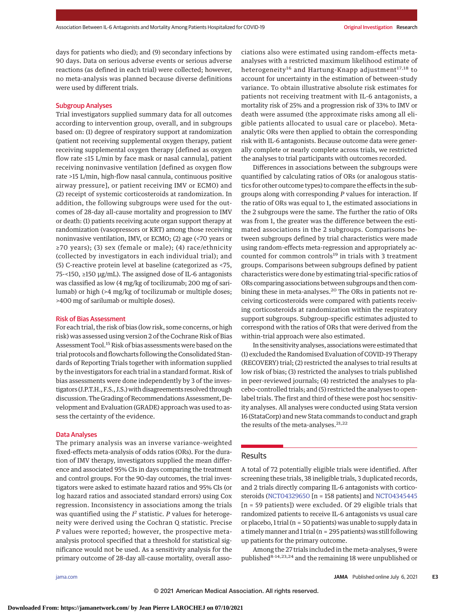days for patients who died); and (9) secondary infections by 90 days. Data on serious adverse events or serious adverse reactions (as defined in each trial) were collected; however, no meta-analysis was planned because diverse definitions were used by different trials.

#### Subgroup Analyses

Trial investigators supplied summary data for all outcomes according to intervention group, overall, and in subgroups based on: (1) degree of respiratory support at randomization (patient not receiving supplemental oxygen therapy, patient receiving supplemental oxygen therapy [defined as oxygen flow rate ≤15 L/min by face mask or nasal cannula], patient receiving noninvasive ventilation [defined as oxygen flow rate >15 L/min, high-flow nasal cannula, continuous positive airway pressure], or patient receiving IMV or ECMO) and (2) receipt of systemic corticosteroids at randomization. In addition, the following subgroups were used for the outcomes of 28-day all-cause mortality and progression to IMV or death: (1) patients receiving acute organ support therapy at randomization (vasopressors or KRT) among those receiving noninvasive ventilation, IMV, or ECMO; (2) age (<70 years or ≥70 years); (3) sex (female or male); (4) race/ethnicity (collected by investigators in each individual trial); and (5) C-reactive protein level at baseline (categorized as <75, 75-<150, ≥150 μg/mL). The assigned dose of IL-6 antagonists was classified as low (4 mg/kg of tocilizumab; 200 mg of sarilumab) or high (>4 mg/kg of tocilizumab or multiple doses; >400 mg of sarilumab or multiple doses).

#### Risk of Bias Assessment

For each trial, the risk of bias (low risk, some concerns, or high risk) was assessed using version 2 of the Cochrane Risk of Bias Assessment Tool.<sup>15</sup> Risk of bias assessments were based on the trial protocols and flowcharts following the Consolidated Standards of Reporting Trials together with information supplied by the investigators for each trial in a standard format. Risk of bias assessments were done independently by 3 of the investigators (J.P.T.H., F.S., J.S.)with disagreements resolved through discussion. The Grading of Recommendations Assessment, Development and Evaluation (GRADE) approach was used to assess the certainty of the evidence.

#### Data Analyses

The primary analysis was an inverse variance–weighted fixed-effects meta-analysis of odds ratios (ORs). For the duration of IMV therapy, investigators supplied the mean difference and associated 95% CIs in days comparing the treatment and control groups. For the 90-day outcomes, the trial investigators were asked to estimate hazard ratios and 95% CIs (or log hazard ratios and associated standard errors) using Cox regression. Inconsistency in associations among the trials was quantified using the  $I^2$  statistic.  $P$  values for heterogeneity were derived using the Cochran Q statistic. Precise *P* values were reported; however, the prospective metaanalysis protocol specified that a threshold for statistical significance would not be used. As a sensitivity analysis for the primary outcome of 28-day all-cause mortality, overall associations also were estimated using random-effects metaanalyses with a restricted maximum likelihood estimate of heterogeneity<sup>16</sup> and Hartung-Knapp adjustment<sup>17,18</sup> to account for uncertainty in the estimation of between-study variance. To obtain illustrative absolute risk estimates for patients not receiving treatment with IL-6 antagonists, a mortality risk of 25% and a progression risk of 33% to IMV or death were assumed (the approximate risks among all eligible patients allocated to usual care or placebo). Metaanalytic ORs were then applied to obtain the corresponding risk with IL-6 antagonists. Because outcome data were generally complete or nearly complete across trials, we restricted the analyses to trial participants with outcomes recorded.

Differences in associations between the subgroups were quantified by calculating ratios of ORs (or analogous statistics for other outcome types) to compare the effects in the subgroups along with corresponding *P* values for interaction. If the ratio of ORs was equal to 1, the estimated associations in the 2 subgroups were the same. The further the ratio of ORs was from 1, the greater was the difference between the estimated associations in the 2 subgroups. Comparisons between subgroups defined by trial characteristics were made using random-effects meta-regression and appropriately accounted for common controls<sup>19</sup> in trials with 3 treatment groups. Comparisons between subgroups defined by patient characteristics were done by estimating trial-specific ratios of ORs comparing associations between subgroups and then combining these in meta-analyses.<sup>20</sup> The ORs in patients not receiving corticosteroids were compared with patients receiving corticosteroids at randomization within the respiratory support subgroups. Subgroup-specific estimates adjusted to correspond with the ratios of ORs that were derived from the within-trial approach were also estimated.

In the sensitivity analyses, associationswere estimated that (1) excluded the Randomised Evaluation of COVID-19 Therapy (RECOVERY) trial; (2) restricted the analyses to trial results at low risk of bias; (3) restricted the analyses to trials published in peer-reviewed journals; (4) restricted the analyses to placebo-controlled trials; and (5) restricted the analyses to openlabel trials. The first and third of these were post hoc sensitivity analyses. All analyses were conducted using Stata version 16 (StataCorp) and new Stata commands to conduct and graph the results of the meta-analyses.<sup>21,22</sup>

#### Results

A total of 72 potentially eligible trials were identified. After screening these trials, 38 ineligible trials, 3 duplicated records, and 2 trials directly comparing IL-6 antagonists with corticosteroids (NCT04329650 [n = 158 patients] and NCT04345445 [n = 59 patients]) were excluded. Of 29 eligible trials that randomized patients to receive IL-6 antagonists vs usual care or placebo, 1 trial (n = 50 patients) was unable to supply data in a timelymanner and 1 trial (n = 295 patients) was still following up patients for the primary outcome.

Among the 27 trials included in the meta-analyses, 9 were published<sup>8-14,23,24</sup> and the remaining 18 were unpublished or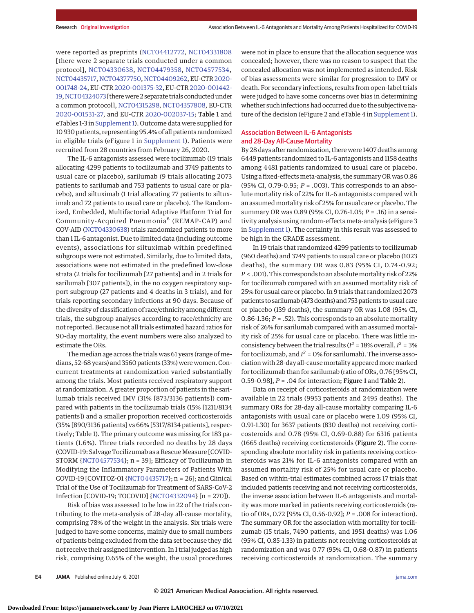were reported as preprints (NCT04412772, NCT04331808 [there were 2 separate trials conducted under a common protocol], NCT04330638, NCT04479358, NCT04577534, NCT04435717, NCT04377750, NCT04409262, EU-CTR2020- 001748-24, EU-CTR2020-001375-32, EU-CTR2020-001442- 19,NCT04324073 [therewere 2 separate trials conducted under a common protocol], NCT04315298, NCT04357808, EU-CTR 2020-001531-27, and EU-CTR 2020-002037-15; Table 1 and eTables 1-3 in Supplement 1). Outcome data were supplied for 10 930 patients, representing 95.4% of all patients randomized in eligible trials (eFigure 1 in Supplement 1). Patients were recruited from 28 countries from February 26, 2020.

The IL-6 antagonists assessed were tocilizumab (19 trials allocating 4299 patients to tocilizumab and 3749 patients to usual care or placebo), sarilumab (9 trials allocating 2073 patients to sarilumab and 753 patients to usual care or placebo), and siltuximab (1 trial allocating 77 patients to siltuximab and 72 patients to usual care or placebo). The Randomized, Embedded, Multifactorial Adaptive Platform Trial for Community-Acquired Pneumonia<sup>8</sup> (REMAP-CAP) and COV-AID (NCT04330638) trials randomized patients to more than 1 IL-6 antagonist. Due to limited data (including outcome events), associations for siltuximab within predefined subgroups were not estimated. Similarly, due to limited data, associations were not estimated in the predefined low-dose strata (2 trials for tocilizumab [27 patients] and in 2 trials for sarilumab [307 patients]), in the no oxygen respiratory support subgroup (27 patients and 4 deaths in 3 trials), and for trials reporting secondary infections at 90 days. Because of the diversity of classification of race/ethnicity among different trials, the subgroup analyses according to race/ethnicity are not reported. Because not all trials estimated hazard ratios for 90-day mortality, the event numbers were also analyzed to estimate the ORs.

The median age across the trials was 61 years (range of medians, 52-68 years) and 3560 patients (33%) were women. Concurrent treatments at randomization varied substantially among the trials. Most patients received respiratory support at randomization. A greater proportion of patients in the sarilumab trials received IMV (31% [873/3136 patients]) compared with patients in the tocilizumab trials (15% [1211/8134 patients]) and a smaller proportion received corticosteroids (35% [890/3136 patients] vs 66% [5317/8134 patients], respectively; Table 1). The primary outcome was missing for 183 patients (1.6%). Three trials recorded no deaths by 28 days (COVID-19: Salvage Tocilizumab as a Rescue Measure [COVID-STORM {NCT04577534}; n = 39]; Efficacy of Tocilizumab in Modifying the Inflammatory Parameters of Patients With COVID-19 [COVITOZ-01 {NCT04435717}; n = 26]; and Clinical Trial of the Use of Tocilizumab for Treatment of SARS-CoV-2 Infection [COVID-19; TOCOVID] {NCT04332094} [n = 270]).

Risk of bias was assessed to be low in 22 of the trials contributing to the meta-analysis of 28-day all-cause mortality, comprising 78% of the weight in the analysis. Six trials were judged to have some concerns, mainly due to small numbers of patients being excluded from the data set because they did not receive their assigned intervention. In 1 trial judged as high risk, comprising 0.65% of the weight, the usual procedures were not in place to ensure that the allocation sequence was concealed; however, there was no reason to suspect that the concealed allocation was not implemented as intended. Risk of bias assessments were similar for progression to IMV or death. For secondary infections, results from open-label trials were judged to have some concerns over bias in determining whether such infections had occurred due to the subjective nature of the decision (eFigure 2 and eTable 4 in Supplement 1).

# Association Between IL-6 Antagonists and 28-Day All-Cause Mortality

By 28 days after randomization, there were 1407 deaths among 6449 patients randomized to IL-6 antagonists and 1158 deaths among 4481 patients randomized to usual care or placebo. Using a fixed-effectsmeta-analysis, the summary OR was 0.86 (95% CI, 0.79-0.95; *P* = .003). This corresponds to an absolute mortality risk of 22% for IL-6 antagonists compared with an assumed mortality risk of 25% for usual care or placebo. The summary OR was 0.89 (95% CI, 0.76-1.05; *P* = .16) in a sensitivity analysis using random-effects meta-analysis (eFigure 3 in Supplement 1). The certainty in this result was assessed to be high in the GRADE assessment.

In 19 trials that randomized 4299 patients to tocilizumab (960 deaths) and 3749 patients to usual care or placebo (1023 deaths), the summary OR was 0.83 (95% CI, 0.74-0.92; *P* < .001). This corresponds to an absolute mortality risk of 22% for tocilizumab compared with an assumed mortality risk of 25% for usual care or placebo. In 9 trials that randomized 2073 patients to sarilumab (473 deaths) and 753 patients to usual care or placebo (139 deaths), the summary OR was 1.08 (95% CI, 0.86-1.36; *P* = .52). This corresponds to an absolute mortality risk of 26% for sarilumab compared with an assumed mortality risk of 25% for usual care or placebo. There was little inconsistency between the trial results ( $I^2$  = 18% overall,  $I^2$  = 3% for tocilizumab, and  $I^2 = 0$ % for sarilumab). The inverse association with 28-day all-causemortality appearedmoremarked for tocilizumab than for sarilumab (ratio of ORs, 0.76 [95% CI, 0.59-0.98], *P* = .04 for interaction; Figure 1 and Table 2).

Data on receipt of corticosteroids at randomization were available in 22 trials (9953 patients and 2495 deaths). The summary ORs for 28-day all-cause mortality comparing IL-6 antagonists with usual care or placebo were 1.09 (95% CI, 0.91-1.30) for 3637 patients (830 deaths) not receiving corticosteroids and 0.78 (95% CI, 0.69-0.88) for 6316 patients (1665 deaths) receiving corticosteroids (Figure 2). The corresponding absolute mortality risk in patients receiving corticosteroids was 21% for IL-6 antagonists compared with an assumed mortality risk of 25% for usual care or placebo. Based on within-trial estimates combined across 17 trials that included patients receiving and not receiving corticosteroids, the inverse association between IL-6 antagonists and mortality was more marked in patients receiving corticosteroids (ratio of ORs, 0.72 [95% CI, 0.56-0.92]; *P* = .008 for interaction). The summary OR for the association with mortality for tocilizumab (15 trials, 7490 patients, and 1951 deaths) was 1.06 (95% CI, 0.85-1.33) in patients not receiving corticosteroids at randomization and was 0.77 (95% CI, 0.68-0.87) in patients receiving corticosteroids at randomization. The summary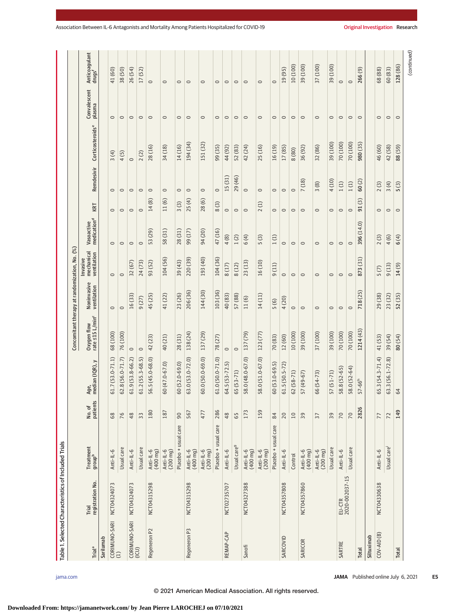|                          | Table 1. Selected Characteristics of Included Trials |                                 |                                      |                         |                                               |                            |                                       |                                       |                      |                          |                                    |                        |                                     |
|--------------------------|------------------------------------------------------|---------------------------------|--------------------------------------|-------------------------|-----------------------------------------------|----------------------------|---------------------------------------|---------------------------------------|----------------------|--------------------------|------------------------------------|------------------------|-------------------------------------|
|                          |                                                      |                                 |                                      |                         | Concomitant therapy at randomization, No. (%) |                            |                                       |                                       |                      |                          |                                    |                        |                                     |
| <b>Trial<sup>a</sup></b> | registration No.<br>Trial                            | Treatment<br>group <sup>b</sup> | No. of<br>patients                   | median (IQR), y<br>Age, | Oxygen flow<br>rate ≤15 L/min <sup>c</sup>    | Noninvasive<br>ventilation | mechanical<br>ventilation<br>Invasive | Vasoactive<br>medication <sup>d</sup> | KRT                  | Remdesivir               | Corticosteroids <sup>e</sup>       | Convalescent<br>plasma | Anticoagulant<br>drugs <sup>f</sup> |
| Sarilumab                |                                                      |                                 |                                      |                         |                                               |                            |                                       |                                       |                      |                          |                                    |                        |                                     |
| CORIMUNO-SARI<br>(1)     | NCT04324073                                          | Anti-IL-6                       | 68                                   | $61.7(53.0 - 71.1)$     | 68 (100)                                      | $\circ$                    | $\circ$                               | $\circ$                               | $\circ$              | $\circ$                  | 3(4)                               | $\circ$                | 41 (60)                             |
|                          |                                                      | Usual care                      | 76                                   | $62.8(56.0 - 71.7)$     | 76(100)                                       | $\circ$                    | $\circ$                               | $\circ$                               | $\circ$              | $\circ$                  | 4(5)                               | $\circ$                | 38 (50)                             |
| CORIMUNO-SARI<br>(ICU)   | NCT04324073                                          | Anti-IL-6                       | 48                                   | $61.9(53.8-66.2)$       | $\circ$                                       | 16(33)                     | 32 (67)                               | $\circ$                               | $\circ$              | $\circ$                  | $\circ$                            | $\circ$                | 26 (54)                             |
|                          |                                                      | Usual care                      | 33                                   | $61.2(55.3 - 68.5)$     | $\circ$                                       | 9(27)                      | 24 (73)                               | $\circ$                               | $\circ$              | $\circ$                  | $\widehat{(\mathbf{2})}$<br>$\sim$ | $\circ$                | (52)<br>17                          |
| Regeneron P2             | NCT04315298                                          | Anti-IL-6<br>(400 mg)           | 180                                  | 56.5 (45.0-68.0)        | 42(23)                                        | 45 (25)                    | 93 (52)                               | (29)<br>53                            | $\circledR$<br>14    | $\circ$                  | 28 (16)                            | $\circ$                | $\circ$                             |
|                          |                                                      | Anti-IL-6<br>$(200 \, mg)$      | 187                                  | 60 (47.0-67.0)          | 40(21)                                        | 41 (22)                    | 104 (56)                              | 58 (31)                               | 11(6)                | $\circ$                  | 34 (18)                            | $\circ$                | $\circ$                             |
|                          |                                                      | Placebo + usual care            | 90                                   | $60(52.0 - 69.0)$       | 28(31)                                        | 23 (26)                    | 39 (43)                               | 28(31)                                | 3(3)                 | $\circ$                  | 14 (16)                            | $\circ$                | $\circ$                             |
| Regeneron P3             | NCT04315298                                          | Anti-IL-6<br>(400 mg)           | 567                                  | $63.0(53.0 - 72.0)$     | 138 (24)                                      | 206 (36)                   | 220 (39)                              | 99 (17)                               | 25(4)                | $\circ$                  | 194 (34)                           | $\circ$                | $\circ$                             |
|                          |                                                      | Anti-IL-6<br>$(200 \, mg)$      | 477                                  | $60.0(50.0-69.0)$       | 137 (29)                                      | 144 (30)                   | 193 (40)                              | 94 (20)                               | 28(6)                | $\circ$                  | 151 (32)                           | $\circ$                | $\circ$                             |
|                          |                                                      | Placebo + usual care            | 286                                  | $61.0(50.0 - 71.0)$     | (27)<br>78                                    | 103 (36)                   | 104 (36)                              | 47 (16)                               | 8(3)                 | $\circ$                  | 99 (35)                            | $\circ$                | $\circ$                             |
| REMAP-CAP                | NCT02735707                                          | Anti-IL-6                       | 48                                   | $64.5(53 - 72.5)$       | $\circ$                                       | 40 (83)                    | 8(17)                                 | 4(8)                                  | $\circ$              | 15(31)                   | 44 (92)                            | $\circ$                | $\circ$                             |
|                          |                                                      | Usual care <sup>9</sup>         | 65                                   | $65(53 - 71)$           | $\circ$                                       | 57 (88)                    | 8(12)                                 | 1(2)                                  | $\circ$              | 29 (46)                  | 52 (83)                            | $\circ$                | $\circ$                             |
| Sanofi                   | NCT04327388                                          | Anti-IL-6<br>(400 mg)           | 173                                  | 58.0 (48.0-67.0)        | 137 (79)                                      | 11(6)                      | 23 (13)                               | 6(4)                                  | $\circ$              | $\circ$                  | 42 (24)                            | $\circ$                | $\circ$                             |
|                          |                                                      | Anti-IL-6<br>$(200 \, mg)$      | 159                                  | 58.0 (51.0-67.0)        | 123 (77)                                      | 14(11)                     | 16 (10)                               | 5(3)                                  | 2(1)                 | $\circ$                  | 25 (16)                            | $\circ$                | $\circ$                             |
|                          |                                                      | Placebo + usual care            | 84                                   | $60(53.0 - 69.5)$       | 70(83)                                        | 5(6)                       | 9(11)                                 | 1(1)                                  | $\circ$              | $\circ$                  | 16 (19)                            | $\circ$                | $\circ$                             |
| SARCOVID                 | NCT04357808                                          | Anti-IL-6                       | 20                                   | $61.5(50.5-72)$         | 12 (60)                                       | 4(20)                      | $\circ$                               | $\circ$                               | $\circ$              | $\circ$                  | 17 (85)                            | $\circ$                | 19(95)                              |
|                          |                                                      | Control                         | $10$                                 | $62(58-71)$             | 10(100)                                       | $\circ$                    | $\circ$                               | $\circ$                               | $\circ$              | $\circ$                  | 8(80)                              | $\circ$                | 10 (100)                            |
| SARICOR                  | NCT04357860                                          | Anti-IL-6<br>(400 mg)           | 59                                   | 57 (49-67)              | 39 (100)                                      | $\circ$                    | $\circ$                               | $\circ$                               | $\circ$              | 7(18)                    | 36 (92)                            | $\circ$                | 39 (100)                            |
|                          |                                                      | Anti-IL-6<br>$(200 \, mg)$      | $\overline{\widetilde{\varepsilon}}$ | 66 (54-73)              | 37 (100)                                      | $\circ$                    | $\circ$                               | $\circ$                               | $\circ$              | 3(8)                     | 32 (86)                            | $\circ$                | 37 (100)                            |
|                          |                                                      | Usual care                      | 39                                   | $57(51-71)$             | 39 (100)                                      | $\circ$                    | $\circ$                               | $\circ$                               | $\circ$              | 4 (10)                   | 39 (100)                           | $\circ$                | (100)<br>39                         |
| SARTRE                   | EU-CTR<br>2020-002037-15                             | Anti-IL-6                       | 70                                   | 58.8 (52-65)            | 70(100)                                       | $\circ$                    | $\circ$                               | $\circ$                               | $\circ$              | 1(1)                     | 70 (100)                           | $\circ$                | $\circ$                             |
|                          |                                                      | Usual care                      | 70                                   | 58.0 (52-64)            | 70(100)                                       | $\circ$                    | $\circ$                               | $\circ$                               | $\circ$              | 1(1)                     | 70 (100)                           | $\circ$                | $\circ$                             |
| Total                    |                                                      |                                 | 2826                                 | $57 - 66h$              | 1214 (43)                                     | (25)<br>718                | 873(31)                               | 396 (14.0)                            | $\binom{3}{2}$<br>51 | 60(2)                    | 980 (35)                           | $\circ$                | 266(9)                              |
| Siltuximab               |                                                      |                                 |                                      |                         |                                               |                            |                                       |                                       |                      |                          |                                    |                        |                                     |
| $COV-ALD(B)$             | NCT04330638                                          | Anti-IL-6                       | 77                                   | 65.3 (54.3-71.4)        | 41 (53)                                       | 29 (38)                    | 5(7)                                  | 2(3)                                  | $\circ$              | $\binom{3}{2}$<br>$\sim$ | 46 (60)                            | $\circ$                | 68 (88)                             |
|                          |                                                      | Usual care <sup>i</sup>         | $\overline{z}$                       | 63.3 (56.1-72.8)        | 39(54)                                        | 23 (32)                    | 9(13)                                 | 4(6)                                  | $\circ$              | 3(4)                     | 42 (58)                            | $\circ$                | 60 (83)                             |
| Total                    |                                                      |                                 | 149                                  | 64                      | 80(54)                                        | 52 (35)                    | 14(9)                                 | 6(4)                                  | $\circ$              | $\widehat{c}$<br>LN.     | 88 (59)                            | $\circ$                | 128 (86)                            |
|                          |                                                      |                                 |                                      |                         |                                               |                            |                                       |                                       |                      |                          |                                    |                        | (continued)                         |

© 2021 American Medical Association. All rights reserved.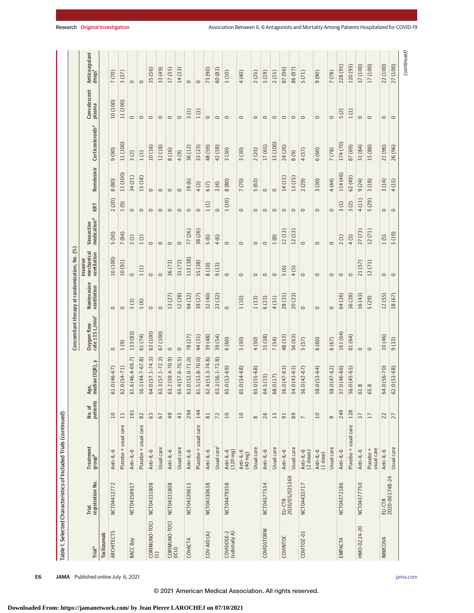|                            |                           |                                 |                    |                                                   | Concomitant therapy at randomization, No. (%) |                            |                                           |                                       |         |            |                              |                        |                                     |
|----------------------------|---------------------------|---------------------------------|--------------------|---------------------------------------------------|-----------------------------------------------|----------------------------|-------------------------------------------|---------------------------------------|---------|------------|------------------------------|------------------------|-------------------------------------|
| <b>Trial<sup>a</sup></b>   | registration No.<br>Trial | Treatment<br>group <sup>b</sup> | No. of<br>patients | $\overline{\phantom{0}}$<br>median (IQR),<br>Age, | Oxygen flow<br>rate ≤15 L/min <sup>c</sup>    | Noninvasive<br>ventilation | mechanical<br>ventilation<br>Invasive     | Vasoactive<br>medication <sup>d</sup> | KRT     | Remdesivir | Corticosteroids <sup>e</sup> | Convalescent<br>plasma | Anticoagulant<br>drugs <sup>f</sup> |
| Tocilizumab                |                           |                                 |                    |                                                   |                                               |                            |                                           |                                       |         |            |                              |                        |                                     |
| ARCHITECTS                 | NCT04412772               | Anti-IL-6                       | $10$               | $61.0(46-67)$                                     | $\circ$                                       | $\circ$                    | 10 (100)                                  | 5 (50)                                | 2(20)   | 8 (80)     | 9(90)                        | 10 (100)               | 7(70)                               |
|                            |                           | Placebo + usual care            | $\Xi$              | $62.0(54-71)$                                     | 1(9)                                          | $\circ$                    | 10(91)                                    | 7(64)                                 | (6)1    | 11(100)    | 11 (100)                     | 11 (100)               | (37)<br>$\sim$                      |
| BACC Bay                   | NCT04356937               | Anti-IL-6                       | 161                | 61.6 (46.4-69.7)                                  | 133 (83)                                      | $\odot$<br>S               | $\circ$                                   | 2(1)                                  | $\circ$ | 34(21)     | 3(2)                         | $\circ$                | $\circ$                             |
|                            |                           | Placebo + usual care            | 82                 | 56.5 (44.7-67.8)                                  | 61(74)                                        | $\odot$<br>LO.             | $\widehat{E}$<br>$\overline{\phantom{0}}$ | 1(1)                                  | $\circ$ | .5(18)     | 1(1)                         | $\circ$                | $\circ$                             |
| CORIMUNO-TOCI<br>(1)       | NCT04331808               | Anti-IL-6                       | 63                 | 64.0 (57.1-74.3)                                  | 63 (100)                                      | $\circ$                    | $\circ$                                   | $\circ$                               | $\circ$ | $\circ$    | 10(16)                       | $\circ$                | 35 (56)                             |
|                            |                           | Usual care                      | 67                 | 63.3 (57.1-72.3)                                  | 67 (100)                                      | $\circ$                    | $\circ$                                   | $\circ$                               | $\circ$ | $\circ$    | 12 (18)                      | $\circ$                | 33 (49)                             |
| CORIMUNO-TOCI<br>(ICU)     | NCT04331808               | Anti-IL-6                       | 49                 | 63.2 (59.4-70.9)                                  | $\circ$                                       | 13(27)                     | 36 (73)                                   | $\circ$                               | $\circ$ | $\circ$    | 8 (16)                       | $\circ$                | 17(35)                              |
|                            |                           | Usual care                      | 43                 | 65.4 (57.6-70.5)                                  | $\circ$                                       | 12 (28)                    | 31(72)                                    | $\circ$                               | $\circ$ | $\circ$    | 4(9)                         | $\circ$                | 14(33)                              |
| COVACTA                    | NCT04320615               | Anti-IL-6                       | 294                | 63.0 (52.0-71.0)                                  | 78(27)                                        | 94 (32)                    | 113 (38)                                  | 77 (26)                               | $\circ$ | 19(6)      | 36 (12)                      | 3(1)                   | $\circ$                             |
|                            |                           | Placebo + usual care            | 144                | $61.5(53.8-70.0)$                                 | 44(31)                                        | 39 (27)                    | 55 (38)                                   | 38 (26)                               | $\circ$ | 4(3)       | 33 (23)                      | 1(1)                   | $\circ$                             |
| $COV-AD(A)$                | NCT04330638               | Anti-IL-6                       | 81                 | $62.4(53.3 - 74.8)$                               | 39 (48)                                       | 32 (40)                    | 8 (10)                                    | 5(6)                                  | 1(1)    | 6(7)       | 48(59)                       | $\circ$                | 73 (90)                             |
|                            |                           | Usual care                      | $\overline{z}$     | 63.3 (56.1-72.8)                                  | 39(54)                                        | 23 (32)                    | (13)<br>5                                 | 4(6)                                  | $\circ$ | 3(4)       | 42 (58)                      | $\circ$                | 60 (83)                             |
| COVIDOSE-2<br>(substudy A) | NCT04479358               | Anti-IL-6<br>(120 mg)           | $10$               | 65.0 (53-69)                                      | 6(60)                                         | $\circ$                    | $\circ$                                   | $\circ$                               | 1(10)   | 8 (80)     | 3(30)                        | $\circ$                | 1(10)                               |
|                            |                           | Anti-IL-6<br>$(40 \text{ mg})$  | 10                 | 65.0 (54-68)                                      | 5(50)                                         | 1(10)                      | $\circ$                                   | $\circ$                               | $\circ$ | 7 (70)     | 3(30)                        | $\circ$                | 4 (40)                              |
|                            |                           | Usual care                      | $\infty$           | 65.0 (55-68)                                      | 4(50)                                         | 1(13)                      | $\circ$                                   | $\circ$                               | $\circ$ | 5(63)      | 2(25)                        | $\circ$                | 2(25)                               |
| COVIDSTORM                 | NCT04577534               | Anti-IL-6                       | 26                 | 64.5(15)                                          | 15(58)                                        | 6(23)                      | $\circ$                                   | $\circ$                               | $\circ$ | $\circ$    | 17 (65)                      | $\circ$                | (61)5                               |
|                            |                           | Usual care                      | $13$               | 68.0 (17)                                         | 7(54)                                         | 4(31)                      | $\circ$                                   | 1(8)                                  | $\circ$ | $\circ$    | 13 (100)                     | $\circ$                | 2(15)                               |
| COVINTOC                   | EU-CTR<br>2020/05/025369  | Anti-IL-6                       | 51                 | 56.0 (47-63)                                      | 48(53)                                        | 28(31)                     | 5(6)                                      | 12(13)                                | $\circ$ | 14(15)     | 24 (26)                      | $\circ$                | 87 (96)                             |
|                            |                           | Usual care                      | $89\,$             | 54.0 (43-63)                                      | 56(63)                                        | 20 (23)                    | 4(5)                                      | 12(13)                                | $\circ$ | 13(15)     | (6)                          | $\circ$                | 86 (97)                             |
| COVITOZ-01                 | NCT04435717               | Anti-IL-6<br>(2 doses)          | $\overline{ }$     | 56.0 (42-67)                                      | 5(57)                                         | $\circ$                    | $\circ$                                   | $\circ$                               | $\circ$ | 2(29)      | 4(57)                        | $\circ$                | 5(71)                               |
|                            |                           | Anti-IL-6<br>$(1$ dose $)$      | 10                 | 58.0 (53-64)                                      | 6 (60)                                        | $\circ$                    | $\circ$                                   | $\circ$                               | $\circ$ | 3(30)      | 6 (60)                       | $\circ$                | (06)                                |
|                            |                           | Usual care                      | 9                  | 58.0 (47-62)                                      | 6(67)                                         | $\circ$                    | $\circ$                                   | $\circ$                               | $\circ$ | 4 (44)     | 7 (78)                       | $\circ$                | 7 (78)                              |
| EMPACTA                    | NCT04372186               | Anti-IL-6                       | 249                | 57.0 (46-66)                                      | 161 (64)                                      | 64 (26)                    | $\circ$                                   | 2(1)                                  | 3(1)    | 114(46)    | 174 (70)                     | 5(2)                   | 228 (91)                            |
|                            |                           | Placebo + usual care            | 128                | 56.0 (45-65)                                      | 81 (64)                                       | 36 (28)                    | $\circ$                                   | 4(3)                                  | 3(2)    | 62 (49)    | 87 (69)                      | 1(1)                   | 120 (95)                            |
| HMO-0224-20                | NCT04377750               | Anti-IL-6                       | 37                 | 61.8                                              | $\circ$                                       | 16 (43)                    | 21(57)                                    | 27 (73)                               | 4(11)   | 9(24)      | 31 (84)                      | $\circ$                | 37 (100)                            |
|                            |                           | usual care<br>Placebo +         | 17                 | 65.8                                              | $\circ$                                       | 5 (29)                     | (71)<br>$\overline{12}$                   | 12(71)                                | 5(29)   | 3(18)      | 15 (88)                      | $\circ$                | 17 (100)                            |
| IMMCOVA                    | EU-CTR<br>2020-001748-24  | Anti-IL-6                       | 22                 | 64.0 (56-70)                                      | 10(46)                                        | 12(55)                     | $\circ$                                   | 1(5)                                  | $\circ$ | 3(14)      | 21 (96)                      | $\circ$                | 22 (100)                            |
|                            |                           | Usual care                      | 27                 | $62.0(53-68)$                                     | (33)<br>$\sigma$                              | 18(67)                     | $\circ$                                   | $(61)$ 5                              | $\circ$ | (15)<br>4  | 26 (96)                      | $\circ$                | 27 (100)                            |
|                            |                           |                                 |                    |                                                   |                                               |                            |                                           |                                       |         |            |                              |                        | (continued)                         |

**E6 JAMA** Published online July 6, 2021 *(Reprinted)* is the property of the state of the state of the state of the state of the state of the state of the state of the state of the state of the state of the state of the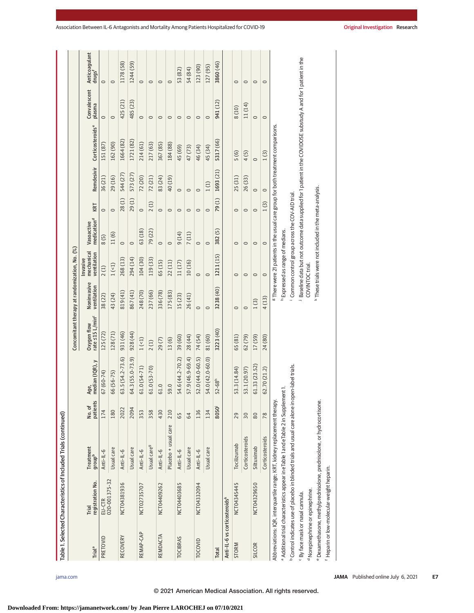| Table 1. Selected Characteristics of Included Trials (continued) |                                            |                                                                                                            |                   |                         | Concomitant therapy at randomization, No. (%) |                            |                                             |                                                        |         |            |                                                                                                               |                        |                                     |
|------------------------------------------------------------------|--------------------------------------------|------------------------------------------------------------------------------------------------------------|-------------------|-------------------------|-----------------------------------------------|----------------------------|---------------------------------------------|--------------------------------------------------------|---------|------------|---------------------------------------------------------------------------------------------------------------|------------------------|-------------------------------------|
| <b>Trial<sup>a</sup></b>                                         | registration No.<br>Trial                  | Treatment<br>aroup <sup>b</sup>                                                                            | patients<br>No.of | median (IQR), y<br>Age, | rate <15 L/min <sup>c</sup><br>Oxygen flow    | Noninvasive<br>ventilation | mechanical<br>ventilation<br>Invasive       | medication <sup>d</sup><br>Vasoactive                  | KRT     | Remdesivir | Corticosteroids <sup>e</sup>                                                                                  | Convalescent<br>plasma | Anticoagulant<br>drugs <sup>f</sup> |
| PRETOVID                                                         | EU-CTR<br>020-001375-32                    | Anti-IL-6                                                                                                  | 174               | 67 (60-74)              | 125 (72)                                      | 38 (22)                    | 2(1)                                        | 8(5)                                                   | $\circ$ | 36(21)     | 151 (87)                                                                                                      | $\circ$                | $\circ$                             |
|                                                                  |                                            | Usual care                                                                                                 | 180               | 66 (56-75)              | 128 (71)                                      | 43 (24)                    | 1(51)                                       | 11(6)                                                  | $\circ$ | 29(16)     | 162 (90)                                                                                                      | $\circ$                | $\circ$                             |
| <b>RECOVERY</b>                                                  | NCT04381936                                | Anti-IL-6                                                                                                  | 2022              | 63.5 (54.2-73.6)        | 931 (46)                                      | 819 (41)                   | 268 (13)                                    | $\circ$                                                | 28(1)   | 544(27)    | 1664 (82)                                                                                                     | 425 (21)               | 1178 (58)                           |
|                                                                  |                                            | Usual care                                                                                                 | 2094              | 64.3 (55.0-73.9)        | 928 (44)                                      | 867 (41)                   | 294 (14)                                    | $\circ$                                                | 29(1)   | 573(27)    | 1721 (82)                                                                                                     | 485 (23)               | 1244 (59)                           |
| REMAP-CAP                                                        | NCT02735707                                | Anti-IL-6                                                                                                  | 353               | $61.0(54-71)$           | 1(51)                                         | 248 (70)                   | 104 (30)                                    | 63 (18)                                                | $\circ$ | 72(20)     | 214 (61)                                                                                                      | $\circ$                | $\circ$                             |
|                                                                  |                                            | Usual care <sup>9</sup>                                                                                    | 358               | $61.0(53-70)$           | 2(1)                                          | 237 (66)                   | 119(33)                                     | 79(22)                                                 | 2(1)    | 72 (21)    | 217 (63)                                                                                                      | $\circ$                | $\circ$                             |
| REMDACTA                                                         | NCT04409262                                | Anti-IL-6                                                                                                  | 430               | 61.0                    | 29(7)                                         | 336 (78)                   | 65 (15)                                     | $\circ$                                                | $\circ$ | 83(24)     | 367 (85)                                                                                                      | $\circ$                | $\circ$                             |
|                                                                  |                                            | Placebo + usual care                                                                                       | 210               | 59.0                    | 13(6)                                         | 175 (83)                   | 22 (11)                                     | $\circ$                                                | $\circ$ | 40 (19)    | 184 (88)                                                                                                      | $\circ$                | $\circ$                             |
| <b>TOCIBRAS</b>                                                  | NCT04403685                                | Anti-IL-6                                                                                                  | 65                | 54.6 (44.2-70.2)        | 39 (60)                                       | 15(23)                     | 11(17)                                      | 9(14)                                                  | $\circ$ | $\circ$    | 45 (69)                                                                                                       | $\circ$                | 53 (82)                             |
|                                                                  |                                            | Usual care                                                                                                 | 64                | 57.9 (46.9-69.4)        | 28 (44)                                       | 26(41)                     | 10(16)                                      | 7(11)                                                  | $\circ$ | $\circ$    | 47 (73)                                                                                                       | $\circ$                | 54 (84)                             |
| TOCOVID                                                          | NCT04332094                                | Anti-IL-6                                                                                                  | 136               | 52.0 (44.0-60.5)        | 74 (54)                                       | $\circ$                    | $\circ$                                     | $\circ$                                                | $\circ$ | $\circ$    | 46 (34)                                                                                                       | $\circ$                | 123 (90)                            |
|                                                                  |                                            | Usual care                                                                                                 | 134               | 54.0 (42.0-60.0)        | 81(60)                                        | $\circ$                    | $\circ$                                     | $\circ$                                                | $\circ$ | 1(1)       | 45 (34)                                                                                                       | $\circ$                | 127 (95)                            |
| <b>Total</b>                                                     |                                            |                                                                                                            | 8050              | $52 - 68h$              | 3223 (40)                                     | 3238 (40)                  | 1211 (15)                                   | 382(5)                                                 | 79(1)   | 1693 (21)  | 5317 (66)                                                                                                     | 941 (12)               | 3860 (46)                           |
| Anti-IL-6 vs corticosteroidsk                                    |                                            |                                                                                                            |                   |                         |                                               |                            |                                             |                                                        |         |            |                                                                                                               |                        |                                     |
| STORM                                                            | NCT04345445                                | Tocilizumab                                                                                                | 29                | 53.3 (14.84)            | 65 (81)                                       | $\circ$                    | $\circ$                                     | $\circ$                                                | $\circ$ | 25(31)     | 5(6)                                                                                                          | 8 (10)                 | $\circ$                             |
|                                                                  |                                            | Corticosteroids                                                                                            | 30                | 53.1 (20.97)            | 62(79)                                        | $\circ$                    | $\circ$                                     | $\circ$                                                | $\circ$ | 26(33)     | 4(5)                                                                                                          | 11 (14)                | $\circ$                             |
| <b>SILCOR</b>                                                    | NCT04329650                                | Siltuximab                                                                                                 | $80\,$            | 61.33 (23.52)           | 17(59)                                        | 1(3)                       | $\circ$                                     | $\circ$                                                | $\circ$ | $\circ$    | $\circ$                                                                                                       | $\circ$                | $\circ$                             |
|                                                                  |                                            | Corticosteroids                                                                                            | 78                | 62.70 (21.2)            | 24(80)                                        | 4(13)                      | $\circ$                                     | $\circ$                                                | 1(3)    | $\circ$    | 1(3)                                                                                                          | $\circ$                | $\circ$                             |
|                                                                  |                                            | Abbreviations: IQR, interquartile range; KRT, kidney replacement therapy.                                  |                   |                         |                                               |                            |                                             |                                                        |         |            | <sup>8</sup> There were 21 patients in the usual care group for both treatment comparisons.                   |                        |                                     |
|                                                                  |                                            | a Additional trial characteristics appear in eTable 1 and eTable 2 in Supplem                              |                   | nent1.                  |                                               |                            | <sup>h</sup> Expressed as range of medians. |                                                        |         |            |                                                                                                               |                        |                                     |
|                                                                  |                                            | <sup>b</sup> Control indicates use of placebo in blinded trials and usual care alone in open-label trials. |                   |                         |                                               |                            |                                             | Common control group across the COV-AID trial.         |         |            |                                                                                                               |                        |                                     |
| <sup>c</sup> By face mask or nasal cannula.                      |                                            |                                                                                                            |                   |                         |                                               |                            |                                             |                                                        |         |            | Baseline data but not outcome data supplied for 1 patient in the COVIDOSE substudy A and for 1 patient in the |                        |                                     |
| <sup>d</sup> Norepinephrine or epinephrine.                      |                                            |                                                                                                            |                   |                         |                                               |                            | COVINTOC trial.                             |                                                        |         |            |                                                                                                               |                        |                                     |
|                                                                  |                                            | <sup>e</sup> Dexamethasone, methylprednisolone, prednisolone, or hydrocortisone.                           |                   |                         |                                               |                            |                                             | * These trials were not included in the meta-analysis. |         |            |                                                                                                               |                        |                                     |
|                                                                  | f Heparin or low-molecular-weight heparin. |                                                                                                            |                   |                         |                                               |                            |                                             |                                                        |         |            |                                                                                                               |                        |                                     |
|                                                                  |                                            |                                                                                                            |                   |                         |                                               |                            |                                             |                                                        |         |            |                                                                                                               |                        |                                     |

# © 2021 American Medical Association. All rights reserved.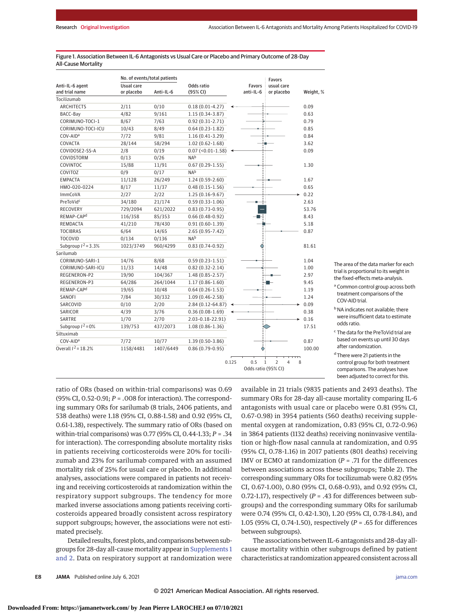|                        |            | No. of events/total patients |                           |       |                     | <b>Favors</b>                                    |           |
|------------------------|------------|------------------------------|---------------------------|-------|---------------------|--------------------------------------------------|-----------|
| Anti-IL-6 agent        | Usual care |                              | Odds ratio                |       | <b>Favors</b>       | usual care                                       |           |
| and trial name         | or placebo | Anti-IL-6                    | (95% CI)                  |       | anti-IL-6           | or placebo                                       | Weight, % |
| Tocilizumab            |            |                              |                           |       |                     |                                                  |           |
| <b>ARCHITECTS</b>      | 2/11       | 0/10                         | $0.18(0.01-4.27)$         |       |                     |                                                  | 0.09      |
| BACC-Bay               | 4/82       | 9/161                        | $1.15(0.34-3.87)$         |       |                     |                                                  | 0.63      |
| CORIMUNO-TOCI-1        | 8/67       | 7/63                         | $0.92(0.31-2.71)$         |       |                     |                                                  | 0.79      |
| CORIMUNO-TOCI-ICU      | 10/43      | 8/49                         | $0.64(0.23-1.82)$         |       |                     |                                                  | 0.85      |
| COV-AID <sup>a</sup>   | 7/72       | 9/81                         | $1.16(0.41-3.29)$         |       |                     |                                                  | 0.84      |
| COVACTA                | 28/144     | 58/294                       | $1.02(0.62 - 1.68)$       |       |                     |                                                  | 3.62      |
| COVIDOSE2-SS-A         | 2/8        | 0/19                         | $0.07$ (< $0.01 - 1.58$ ) |       |                     |                                                  | 0.09      |
| COVIDSTORM             | 0/13       | 0/26                         | N <sub>Ab</sub>           |       |                     |                                                  |           |
| COVINTOC               | 15/88      | 11/91                        | $0.67(0.29-1.55)$         |       |                     |                                                  | 1.30      |
| COVITOZ                | 0/9        | 0/17                         | N <sub>Ab</sub>           |       |                     |                                                  |           |
| <b>EMPACTA</b>         | 11/128     | 26/249                       | $1.24(0.59-2.60)$         |       |                     |                                                  | 1.67      |
| HMO-020-0224           | 8/17       | 11/37                        | $0.48(0.15-1.56)$         |       |                     |                                                  | 0.65      |
| <b>ImmCoVA</b>         | 2/27       | 2/22                         | $1.25(0.16-9.67)$         |       |                     |                                                  | 0.22      |
| PreToVidc              | 34/180     | 21/174                       | $0.59(0.33 - 1.06)$       |       |                     |                                                  | 2.63      |
| RECOVERY               | 729/2094   | 621/2022                     | $0.83(0.73-0.95)$         |       |                     |                                                  | 53.76     |
| REMAP-CAP <sup>d</sup> | 116/358    | 85/353                       | $0.66(0.48-0.92)$         |       |                     |                                                  | 8.43      |
| REMDACTA               | 41/210     | 78/430                       | $0.91(0.60-1.39)$         |       |                     |                                                  | 5.18      |
| <b>TOCIBRAS</b>        | 6/64       | 14/65                        | $2.65(0.95 - 7.42)$       |       |                     |                                                  | 0.87      |
| <b>TOCOVID</b>         | 0/134      | 0/136                        | N <sub>Ab</sub>           |       |                     |                                                  |           |
| Subgroup $I^2 = 3.3\%$ | 1023/3749  | 960/4299                     | $0.83(0.74-0.92)$         |       |                     |                                                  | 81.61     |
| Sarilumab              |            |                              |                           |       |                     |                                                  |           |
| CORIMUNO-SARI-1        | 14/76      | 8/68                         | $0.59(0.23-1.51)$         |       |                     |                                                  | 1.04      |
| CORIMUNO-SARI-ICU      | 11/33      | 14/48                        | $0.82(0.32 - 2.14)$       |       |                     |                                                  | 1.00      |
| REGENERON-P2           | 19/90      | 104/367                      | $1.48(0.85 - 2.57)$       |       |                     |                                                  | 2.97      |
| REGENERON-P3           | 64/286     | 264/1044                     | $1.17(0.86 - 1.60)$       |       |                     |                                                  | 9.45      |
| REMAP-CAP <sup>d</sup> | 19/65      | 10/48                        | $0.64(0.26-1.53)$         |       |                     |                                                  | 1.19      |
| SANOFI                 | 7/84       | 30/332                       | $1.09(0.46 - 2.58)$       |       |                     |                                                  | 1.24      |
| SARCOVID               | 0/10       | 2/20                         | 2.84 (0.12-64.87)         |       |                     |                                                  | 0.09      |
| SARICOR                | 4/39       | 3/76                         | $0.36(0.08-1.69)$         |       |                     |                                                  | 0.38      |
| SARTRE                 | 1/70       | 2/70                         | $2.03 - 0.18 - 22.91$     |       |                     |                                                  | 0.16      |
| Subgroup $I^2 = 0\%$   | 139/753    | 437/2073                     | $1.08(0.86 - 1.36)$       |       |                     |                                                  | 17.51     |
| Siltuximab             |            |                              |                           |       |                     |                                                  |           |
| COV-AID <sup>a</sup>   | 7/72       | 10/77                        | $1.39(0.50-3.86)$         |       |                     |                                                  | 0.87      |
| Overall $1^2$ = 18.2%  | 1158/4481  | 1407/6449                    | $0.86(0.79-0.95)$         |       |                     |                                                  | 100.00    |
|                        |            |                              |                           | 0.125 | 0.5                 | $\overline{2}$<br>$\mathbf{1}$<br>$\overline{4}$ | 8         |
|                        |            |                              |                           |       | Odds ratio (95% CI) |                                                  |           |

#### Figure 1. Association Between IL-6 Antagonists vs Usual Care or Placebo and Primary Outcome of 28-Day All-Cause Mortality

The area of the data marker for each trial is proportional to its weight in the fixed-effects meta-analysis.

<sup>a</sup> Common control group across both treatment comparisons of the COV-AID trial.

**b** NA indicates not available; there were insufficient data to estimate odds ratio.

<sup>c</sup> The data for the PreToVid trial are based on events up until 30 days after randomization.

<sup>d</sup> There were 21 patients in the control group for both treatment comparisons. The analyses have been adjusted to correct for this.

ratio of ORs (based on within-trial comparisons) was 0.69 (95% CI, 0.52-0.91; *P* = *.*008 for interaction). The corresponding summary ORs for sarilumab (8 trials, 2406 patients, and 538 deaths) were 1.18 (95% CI, 0.88-1.58) and 0.92 (95% CI, 0.61-1.38), respectively. The summary ratio of ORs (based on within-trial comparisons) was 0.77 (95% CI, 0.44-1.33; *P* = .34 for interaction). The corresponding absolute mortality risks in patients receiving corticosteroids were 20% for tocilizumab and 23% for sarilumab compared with an assumed mortality risk of 25% for usual care or placebo. In additional analyses, associations were compared in patients not receiving and receiving corticosteroids at randomization within the respiratory support subgroups. The tendency for more marked inverse associations among patients receiving corticosteroids appeared broadly consistent across respiratory support subgroups; however, the associations were not estimated precisely.

Detailed results, forest plots, and comparisons between subgroups for 28-day all-cause mortality appear in Supplements 1 and 2. Data on respiratory support at randomization were

available in 21 trials (9835 patients and 2493 deaths). The summary ORs for 28-day all-cause mortality comparing IL-6 antagonists with usual care or placebo were 0.81 (95% CI, 0.67-0.98) in 3954 patients (560 deaths) receiving supplemental oxygen at randomization, 0.83 (95% CI, 0.72-0.96) in 3864 patients (1132 deaths) receiving noninvasive ventilation or high-flow nasal cannula at randomization, and 0.95 (95% CI, 0.78-1.16) in 2017 patients (801 deaths) receiving IMV or ECMO at randomization (*P* = .71 for the differences between associations across these subgroups; Table 2). The corresponding summary ORs for tocilizumab were 0.82 (95% CI, 0.67-1.00), 0.80 (95% CI, 0.68-0.93), and 0.92 (95% CI, 0.72-1.17), respectively (*P* = .43 for differences between subgroups) and the corresponding summary ORs for sarilumab were 0.74 (95% CI, 0.42-1.30), 1.20 (95% CI, 0.78-1.84), and 1.05 (95% CI, 0.74-1.50), respectively (*P* = .65 for differences between subgroups).

The associations between IL-6 antagonists and 28-day allcause mortality within other subgroups defined by patient characteristics at randomization appeared consistent across all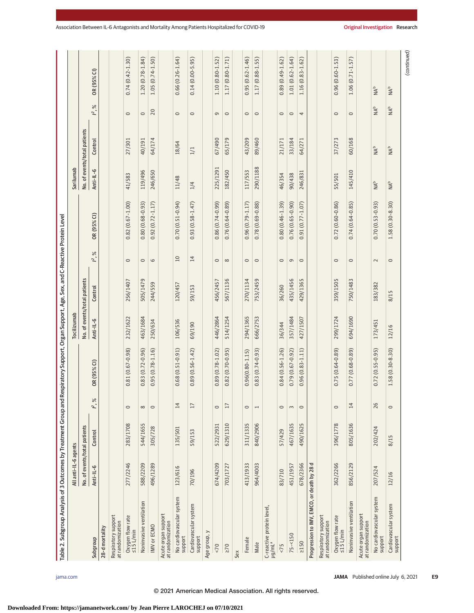| Table 2. Subgroup Analysis of 3 Outcomes by Treatment Group and |                              |          |                 | Respiratory Support, Organ Support, Age, Sex, and C-Reactive Protein Level |                              |          |                 |                     |                                   |                              |                 |                                   |
|-----------------------------------------------------------------|------------------------------|----------|-----------------|----------------------------------------------------------------------------|------------------------------|----------|-----------------|---------------------|-----------------------------------|------------------------------|-----------------|-----------------------------------|
|                                                                 | All anti-IL-6 agents         |          |                 |                                                                            | Tocilizumab                  |          |                 |                     | Sarilumab                         |                              |                 |                                   |
|                                                                 | No. of events/total patients |          |                 |                                                                            | No. of events/total patients |          |                 |                     |                                   | No. of events/total patients |                 |                                   |
| Subgroup                                                        | Anti-IL-6                    | Control  | $1^{2}$ ,%      | OR (95% CI)                                                                | Anti-IL-6                    | Control  | $1^{2}$ , %     | OR (95% CI)         | Anti-IL-6                         | Control                      | $1^{2}$ , %     | OR (95% CI)                       |
| 28-d mortality                                                  |                              |          |                 |                                                                            |                              |          |                 |                     |                                   |                              |                 |                                   |
| Respiratory support<br>at randomization                         |                              |          |                 |                                                                            |                              |          |                 |                     |                                   |                              |                 |                                   |
| Oxygen flow rate<br>≤15 L/min                                   | 277/2246                     | 283/1708 | $\circ$         | $0.81(0.67 - 0.98)$                                                        | 232/1622                     | 256/1407 | $\circ$         | $0.82(0.67 - 1.00)$ | 41/583                            | 27/301                       | $\circ$         | $0.74(0.42 - 1.30)$               |
| Noninvasive ventilation                                         | 588/2209                     | 544/1655 | ${}^{\circ}$    | $0.83(0.72 - 0.96)$                                                        | 463/1684                     | 505/1479 | $\circ$         | $0.80(0.68 - 0.93)$ | 119/496                           | 40/191                       | $\circ$         | $1.20(0.78-1.84)$                 |
| <b>IMV</b> or ECMO                                              | 496/1289                     | 305/728  | $\circ$         | $0.95(0.78 - 1.16)$                                                        | 250/634                      | 244/559  | $\circ$         | $0.92(0.72 - 1.17)$ | 246/650                           | 64/174                       | 20              | $1.05(0.74 - 1.50)$               |
| Acute organ support<br>at randomization                         |                              |          |                 |                                                                            |                              |          |                 |                     |                                   |                              |                 |                                   |
| No cardiovascular system<br>support                             | 123/616                      | 135/501  | 14              | $0.68(0.51 - 0.91)$                                                        | 106/536                      | 120/457  | $\overline{10}$ | $0.70(0.51 - 0.94)$ | 11/48                             | 18/64                        | $\circ$         | $0.66(0.26 - 1.64)$               |
| Cardiovascular system<br>support                                | 70/196                       | 59/153   | $\overline{17}$ | $0.89(0.56 - 1.42)$                                                        | 69/190                       | 59/153   | $\overline{14}$ | $0.93(0.58 - 1.47)$ | 1/4                               | 1/1                          | $\circ$         | $0.14(0.00-5.95)$                 |
| Age group, y                                                    |                              |          |                 |                                                                            |                              |          |                 |                     |                                   |                              |                 |                                   |
| $< 70$                                                          | 674/4209                     | 522/2931 | $\circ$         | $0.89(0.78 - 1.02)$                                                        | 446/2864                     | 456/2457 | $\circ$         | $0.86(0.74-0.99)$   | 225/1291                          | 67/490                       | G               | 1.10 (0.80-1.52)                  |
| $\geq 70$                                                       | 703/1727                     | 629/1310 | 17              | $0.82(0.70-0.95)$                                                          | 514/1254                     | 567/1136 | $\infty$        | $0.76(0.64 - 0.89)$ | 182/450                           | 65/179                       | $\circ$         | 1.17 (0.80-1.71)                  |
| Sex                                                             |                              |          |                 |                                                                            |                              |          |                 |                     |                                   |                              |                 |                                   |
| Female                                                          | 413/1933                     | 311/1335 | $\circ$         | $0.96(0.80 - 1.15)$                                                        | 294/1365                     | 270/1134 | $\circ$         | $0.96(0.79 - 1.17)$ | 117/553                           | 43/209                       | $\circ$         | $0.95(0.62 - 1.46)$               |
| Male                                                            | 964/4003                     | 840/2906 | $\overline{ }$  | $0.83(0.74-0.93)$                                                          | 666/2753                     | 753/2459 | $\circ$         | $0.78(0.69 - 0.88)$ | 290/1188                          | 89/460                       | $\circ$         | 1.17 (0.88-1.55)                  |
| C-reactive protein level<br>µg/mL <sup>a</sup>                  |                              |          |                 |                                                                            |                              |          |                 |                     |                                   |                              |                 |                                   |
| 5<                                                              | 83/710                       | 57/429   | $\circ$         | $0.84(0.56 - 1.26)$                                                        | 36/344                       | 36/260   | $\circ$         | $0.80(0.46 - 1.39)$ | 46/354                            | 21/171                       | $\circ$         | $0.89(0.49 - 1.62)$               |
| $75 - 150$                                                      | 451/1957                     | 467/1635 | $\sim$          | $0.79(0.67 - 0.92)$                                                        | 357/1484                     | 435/1456 | $\mathbb O$     | $0.76(0.65 - 0.90)$ | 90/438                            | 33/184                       | $\circ$         | $1.01(0.62 - 1.64)$               |
| >150                                                            | 678/2366                     | 490/1625 | $\circ$         | $0.96(0.83 - 1.11)$                                                        | 427/1507                     | 429/1365 | $\circ$         | $0.91(0.77 - 1.07)$ | 246/831                           | 64/271                       | 4               | 1.16 (0.83-1.62)                  |
| Progression to IMV, EMCO, or death by 28                        | ᅙ                            |          |                 |                                                                            |                              |          |                 |                     |                                   |                              |                 |                                   |
| Respiratory support<br>at randomization                         |                              |          |                 |                                                                            |                              |          |                 |                     |                                   |                              |                 |                                   |
| Oxygen flow rate<br>≤15 L/min                                   | 362/2266                     | 396/1778 | $\circ$         | $0.75(0.64 - 0.89)$                                                        | 299/1724                     | 359/1505 | $\circ$         | $0.72(0.60 - 0.86)$ | 55/501                            | 37/273                       | $\circ$         | $0.96(0.60 - 1.53)$               |
| Noninvasive ventilation                                         | 856/2129                     | 805/1636 | 14              | $0.77(0.68 - 0.89)$                                                        | 694/1690                     | 750/1483 | $\circ$         | $0.74(0.64 - 0.85)$ | 145/410                           | 60/168                       | $\circ$         | $1.06(0.71 - 1.57)$               |
| Acute organ support<br>at randomization                         |                              |          |                 |                                                                            |                              |          |                 |                     |                                   |                              |                 |                                   |
| No cardiovascular system<br>support                             | 207/524                      | 202/424  | 26              | $0.72(0.55 - 0.95)$                                                        | 173/451                      | 183/382  | $\sim$          | $0.70(0.53 - 0.93)$ | $\mathsf{N}\mathsf{M}^\mathsf{b}$ | NA <sup>b</sup>              | NA <sup>b</sup> | $\mathsf{N}\mathsf{N}^\mathsf{b}$ |
| Cardiovascular system<br>support                                | 12/16                        | 8/15     | $\circ$         | $1.58(0.30 - 8.30)$                                                        | 12/16                        | 8/15     | $\circ$         | $1.58(0.30 - 8.30)$ | $\mathsf{N}\mathsf{M}^\mathsf{b}$ | $\mathsf{NA}^\mathsf{b}$     | NA <sup>b</sup> | $\mathsf{N}\mathsf{N}^\mathsf{b}$ |
|                                                                 |                              |          |                 |                                                                            |                              |          |                 |                     |                                   |                              |                 |                                   |

(continued) (continued)

**Downloaded From: https://jamanetwork.com/ by Jean Pierre LAROCHEJ on 07/10/2021**

© 2021 American Medical Association. All rights reserved.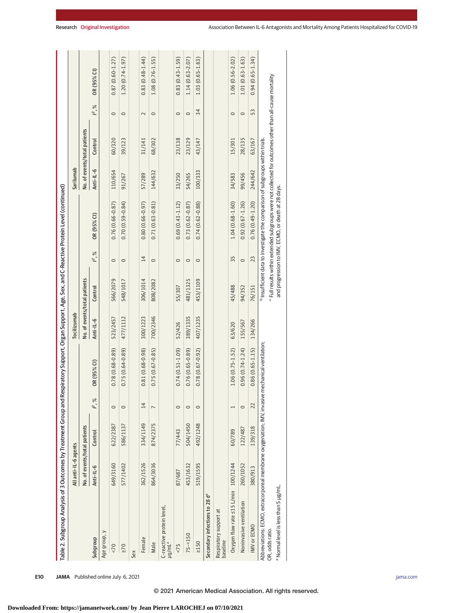| Table 2. Subgroup Analysis of 3 Outcomes by Treatment Group and Respiratory Support, Organ Support, Age, Sex, and C-Reactive Protein Level (continued) |                              |          |                |                     |                              |          |             |                                                                                                       |           |                              |             |                     |
|--------------------------------------------------------------------------------------------------------------------------------------------------------|------------------------------|----------|----------------|---------------------|------------------------------|----------|-------------|-------------------------------------------------------------------------------------------------------|-----------|------------------------------|-------------|---------------------|
|                                                                                                                                                        | All anti-IL-6 agents         |          |                |                     | Tocilizumab                  |          |             |                                                                                                       | Sarilumab |                              |             |                     |
|                                                                                                                                                        | No. of events/total patients |          |                |                     | No. of events/total patients |          |             |                                                                                                       |           | No. of events/total patients |             |                     |
| Subgroup                                                                                                                                               | Anti-IL-6                    | Control  | $1^{2}$ , %    | OR (95% CI)         | Anti-IL-6                    | Control  | $1^{2}$ , % | OR (95% CI)                                                                                           | Anti-IL-6 | Control                      | $1^{2}$ , % | OR (95% CI)         |
| Age group, y                                                                                                                                           |                              |          |                |                     |                              |          |             |                                                                                                       |           |                              |             |                     |
| 5<                                                                                                                                                     | 649/3160                     | 622/2387 | $\circ$        | $0.78(0.68 - 0.89)$ | 523/2457                     | 566/2079 | $\circ$     | $0.76(0.66 - 0.87)$                                                                                   | 110/654   | 60/320                       | $\circ$     | $0.87(0.60 - 1.27)$ |
| $\geq 70$                                                                                                                                              | 577/1402                     | 586/1137 | $\circ$        | $0.75(0.64 - 0.89)$ | 477/1112                     | 548/1017 | $\circ$     | $0.70(0.59 - 0.84)$                                                                                   | 91/267    | 39/123                       | $\circ$     | $1.20(0.74-1.97)$   |
| Sex                                                                                                                                                    |                              |          |                |                     |                              |          |             |                                                                                                       |           |                              |             |                     |
| Female                                                                                                                                                 | 362/1526                     | 334/1149 | 14             | $0.81(0.68 - 0.98)$ | 300/1223                     | 306/1014 | 14          | $0.80(0.66 - 0.97)$                                                                                   | 57/289    | 31/141                       | $\sim$      | $0.83(0.48 - 1.44)$ |
| Male                                                                                                                                                   | 864/3036                     | 874/2375 | $\overline{ }$ | $0.75(0.67 - 0.85)$ | 700/2346                     | 808/2082 | $\circ$     | $0.71(0.63 - 0.81)$                                                                                   | 144/632   | 68/302                       | $\circ$     | $1.08(0.76 - 1.55)$ |
| C-reactive protein level,<br>$\mu$ lu/pr                                                                                                               |                              |          |                |                     |                              |          |             |                                                                                                       |           |                              |             |                     |
| 5/5                                                                                                                                                    | 87/687                       | 77/443   | $\circ$        | $0.74(0.51 - 1.09)$ | 52/426                       | 55/307   | $\circ$     | $0.69(0.43 - 1.12)$                                                                                   | 33/250    | 23/138                       | $\circ$     | $0.83(0.43 - 1.59)$ |
| $75 - 150$                                                                                                                                             | 453/1632                     | 504/1450 | $\circ$        | $0.76(0.65 - 0.89)$ | 389/1335                     | 481/1325 | $\circ$     | $0.73(0.62 - 0.87)$                                                                                   | 54/265    | 23/129                       | $\circ$     | $1.14(0.63 - 2.07)$ |
| $\geq 150$                                                                                                                                             | 519/1595                     | 492/1248 | $\circ$        | $0.78(0.67 - 0.92)$ | 407/1235                     | 453/1109 | $\circ$     | $0.74(0.62 - 0.88)$                                                                                   | 100/333   | 43/147                       | 34          | $1.03(0.65 - 1.63)$ |
| Secondary infections to 28 d <sup>c</sup>                                                                                                              |                              |          |                |                     |                              |          |             |                                                                                                       |           |                              |             |                     |
| Respiratory support at<br>baseline                                                                                                                     |                              |          |                |                     |                              |          |             |                                                                                                       |           |                              |             |                     |
| Oxygen flow rate ≤15 L/min 100/1244                                                                                                                    |                              | 60/789   | $\overline{1}$ | $1.06(0.75 - 1.52)$ | 63/620                       | 45/488   | 35          | $1.04(0.68 - 1.60)$                                                                                   | 34/583    | 15/301                       | $\circ$     | $1.06(0.56 - 2.02)$ |
| Noninvasive ventilation                                                                                                                                | 260/1052                     | 122/487  | $\circ$        | $0.96(0.74 - 1.24)$ | 155/567                      | 94/352   | $\circ$     | $0.92(0.67 - 1.26)$                                                                                   | 99/456    | 28/135                       | $\circ$     | $1.01(0.63 - 1.63)$ |
| IMV or ECMO                                                                                                                                            | 380/913                      | 139/318  | 22             | $0.86(0.65 - 1.15)$ | 134/266                      | 76/151   | 23          | $0.76(0.49 - 1.20)$                                                                                   | 244/642   | 63/167                       | 53          | $0.94(0.65 - 1.34)$ |
| Abbreviations: ECMO, extracorporeal membrane oxygenation; IMV, invasive mechanical ventilation;                                                        |                              |          |                |                     |                              |          |             | <sup>b</sup> Insufficient data to investigate the comparison of subgroups within trials.              |           |                              |             |                     |
| OR, odds ratio.                                                                                                                                        |                              |          |                |                     |                              |          |             | Full results within extended subgroups were not collected for outcomes other than all-cause mortality |           |                              |             |                     |
| a Normal level is less than 5 µg/mL.                                                                                                                   |                              |          |                |                     |                              |          |             | and progression to IMV, ECMO, or death at 28 days.                                                    |           |                              |             |                     |
|                                                                                                                                                        |                              |          |                |                     |                              |          |             |                                                                                                       |           |                              |             |                     |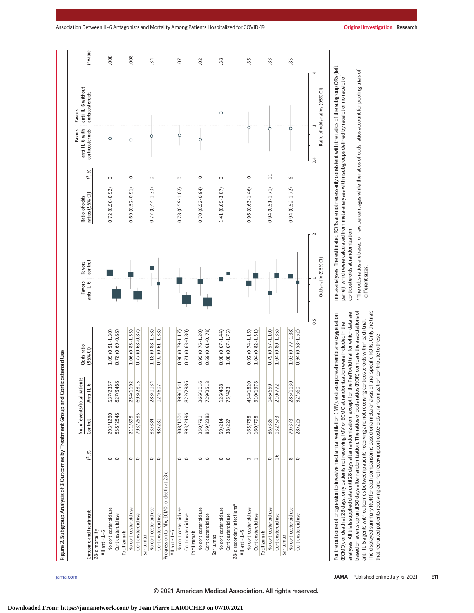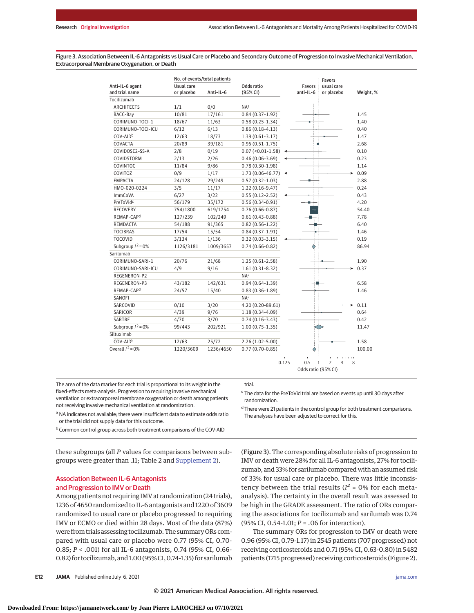Figure 3. Association Between IL-6 Antagonists vs Usual Care or Placebo and Secondary Outcome of Progression to Invasive Mechanical Ventilation, Extracorporeal Membrane Oxygenation, or Death

|                        | No. of events/total patients |           |                       |           | <b>Favors</b>            |           |
|------------------------|------------------------------|-----------|-----------------------|-----------|--------------------------|-----------|
| Anti-IL-6 agent        | Usual care                   |           | Odds ratio            | Favors    | usual care               |           |
| and trial name         | or placebo                   | Anti-IL-6 | (95% CI)              | anti-IL-6 | or placebo               | Weight, % |
| Tocilizumab            |                              |           |                       |           |                          |           |
| <b>ARCHITECTS</b>      | 1/1                          | 0/0       | NA <sup>a</sup>       |           |                          |           |
| BACC-Bay               | 10/81                        | 17/161    | $0.84(0.37-1.92)$     |           |                          | 1.45      |
| CORIMUNO-TOCI-1        | 18/67                        | 11/63     | $0.58(0.25-1.34)$     |           |                          | 1.40      |
| CORIMUNO-TOCI-ICU      | 6/12                         | 6/13      | $0.86(0.18-4.13)$     |           |                          | 0.40      |
| COV-AID <sup>b</sup>   | 12/63                        | 18/73     | $1.39(0.61-3.17)$     |           |                          | 1.47      |
| COVACTA                | 20/89                        | 39/181    | $0.95(0.51 - 1.75)$   |           |                          | 2.68      |
| COVIDOSE2-SS-A         | 2/8                          | 0/19      | $0.07 (-0.01 - 1.58)$ |           |                          | 0.10      |
| COVIDSTORM             | 2/13                         | 2/26      | $0.46(0.06-3.69)$     |           |                          | 0.23      |
| COVINTOC               | 11/84                        | 9/86      | $0.78(0.30-1.98)$     |           |                          | 1.14      |
| COVITOZ                | 0/9                          | 1/17      | 1.73 (0.06-46.77)     |           |                          | 0.09      |
| <b>EMPACTA</b>         | 24/128                       | 29/249    | $0.57(0.32 - 1.03)$   |           |                          | 2.88      |
| HMO-020-0224           | 3/5                          | 11/17     | 1.22 (0.16-9.47)      |           |                          | 0.24      |
| <b>ImmCoVA</b>         | 6/27                         | 3/22      | $0.55(0.12 - 2.52)$   |           |                          | 0.43      |
| PreToVidc              | 56/179                       | 35/172    | $0.56(0.34-0.91)$     |           |                          | 4.20      |
| <b>RECOVERY</b>        | 754/1800                     | 619/1754  | $0.76(0.66 - 0.87)$   |           |                          | 54.40     |
| REMAP-CAP <sup>d</sup> | 127/239                      | 102/249   | $0.61(0.43 - 0.88)$   |           |                          | 7.78      |
| REMDACTA               | 54/188                       | 91/365    | $0.82(0.56 - 1.22)$   |           |                          | 6.40      |
| <b>TOCIBRAS</b>        | 17/54                        | 15/54     | $0.84(0.37-1.91)$     |           |                          | 1.46      |
| <b>TOCOVID</b>         | 3/134                        | 1/136     | $0.32(0.03 - 3.15)$   |           |                          | 0.19      |
| Subgroup $1^2$ = 0%    | 1126/3181                    | 1009/3657 | $0.74(0.66 - 0.82)$   |           |                          | 86.94     |
| Sarilumab              |                              |           |                       |           |                          |           |
| CORIMUNO-SARI-1        | 20/76                        | 21/68     | $1.25(0.61-2.58)$     |           |                          | 1.90      |
| CORIMUNO-SARI-ICU      | 4/9                          | 9/16      | $1.61(0.31-8.32)$     |           |                          | 0.37      |
| REGENERON-P2           |                              |           | NA <sup>a</sup>       |           |                          |           |
| REGENERON-P3           | 43/182                       | 142/631   | $0.94(0.64-1.39)$     |           |                          | 6.58      |
| REMAP-CAP <sup>d</sup> | 24/57                        | 15/40     | $0.83(0.36 - 1.89)$   |           |                          | 1.46      |
| SANOFI                 |                              |           | N <sub>A</sub> a      |           |                          |           |
| SARCOVID               | 0/10                         | 3/20      | 4.20 (0.20-89.61)     |           |                          | 0.11      |
| SARICOR                | 4/39                         | 9/76      | $1.18(0.34 - 4.09)$   |           |                          | 0.64      |
| SARTRE                 | 4/70                         | 3/70      | $0.74(0.16-3.43)$     |           |                          | 0.42      |
| Subgroup $I^2 = 0\%$   | 99/443                       | 202/921   | $1.00(0.75-1.35)$     |           |                          | 11.47     |
| Siltuximab             |                              |           |                       |           |                          |           |
| COV-AID <sup>b</sup>   | 12/63                        | 25/72     | $2.26(1.02 - 5.00)$   |           |                          | 1.58      |
| Overall $I^2 = 0\%$    | 1220/3609                    | 1236/4650 | $0.77(0.70-0.85)$     |           |                          | 100.00    |
|                        |                              |           |                       |           | $\overline{\phantom{a}}$ |           |
|                        |                              |           |                       |           |                          |           |

trial.

0.125 0.5 1 2 8 Odds ratio (95% CI) 4

The area of the data marker for each trial is proportional to its weight in the fixed-effects meta-analysis. Progression to requiring invasive mechanical ventilation or extracorporeal membrane oxygenation or death among patients not receiving invasive mechanical ventilation at randomization.

 $\epsilon$  The data for the PreToVid trial are based on events up until 30 days after randomization.

<sup>a</sup> NA indicates not available; there were insufficient data to estimate odds ratio or the trial did not supply data for this outcome.

b Common control group across both treatment comparisons of the COV-AID

these subgroups (all *P* values for comparisons between subgroups were greater than .11; Table 2 and Supplement 2).

#### Association Between IL-6 Antagonists and Progression to IMV or Death

Among patients not requiring IMV at randomization (24 trials), 1236 of 4650 randomized to IL-6 antagonists and 1220 of 3609 randomized to usual care or placebo progressed to requiring IMV or ECMO or died within 28 days. Most of the data (87%) were from trials assessing tocilizumab. The summary ORs compared with usual care or placebo were 0.77 (95% CI, 0.70- 0.85; *P* < .001) for all IL-6 antagonists, 0.74 (95% CI, 0.66- 0.82) for tocilizumab, and 1.00 (95% CI, 0.74-1.35) for sarilumab

<sup>d</sup> There were 21 patients in the control group for both treatment comparisons. The analyses have been adjusted to correct for this.

(Figure 3). The corresponding absolute risks of progression to IMV or death were 28% for all IL-6 antagonists, 27% for tocilizumab, and 33% for sarilumab compared with an assumed risk of 33% for usual care or placebo. There was little inconsistency between the trial results ( $I^2$  = 0% for each metaanalysis). The certainty in the overall result was assessed to be high in the GRADE assessment. The ratio of ORs comparing the associations for tocilizumab and sarilumab was 0.74 (95% CI, 0.54-1.01; *P* = *.*06 for interaction).

The summary ORs for progression to IMV or death were 0.96 (95% CI, 0.79-1.17) in 2545 patients (707 progressed) not receiving corticosteroids and 0.71 (95% CI, 0.63-0.80) in 5482 patients (1715 progressed) receiving corticosteroids (Figure 2).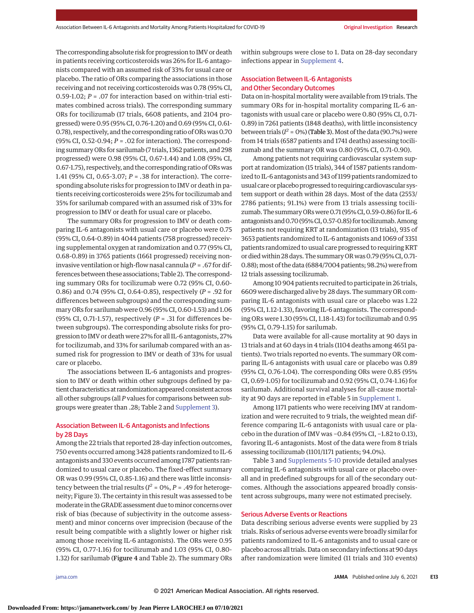The corresponding absolute risk for progression to IMV or death in patients receiving corticosteroids was 26% for IL-6 antagonists compared with an assumed risk of 33% for usual care or placebo. The ratio of ORs comparing the associations in those receiving and not receiving corticosteroids was 0.78 (95% CI, 0.59-1.02; *P* = .07 for interaction based on within-trial estimates combined across trials). The corresponding summary ORs for tocilizumab (17 trials, 6608 patients, and 2104 progressed) were 0.95 (95% CI, 0.76-1.20) and 0.69 (95% CI, 0.61- 0.78), respectively, and the corresponding ratio of ORs was 0.70 (95% CI, 0.52-0.94; *P* = *.*02 for interaction). The corresponding summary ORs for sarilumab (7 trials, 1362 patients, and 298 progressed) were 0.98 (95% CI, 0.67-1.44) and 1.08 (95% CI, 0.67-1.75), respectively, and the corresponding ratio of ORs was 1.41 (95% CI, 0.65-3.07; *P* = *.*38 for interaction). The corresponding absolute risks for progression to IMV or death in patients receiving corticosteroids were 25% for tocilizumab and 35% for sarilumab compared with an assumed risk of 33% for progression to IMV or death for usual care or placebo.

The summary ORs for progression to IMV or death comparing IL-6 antagonists with usual care or placebo were 0.75 (95% CI, 0.64-0.89) in 4044 patients (758 progressed) receiving supplemental oxygen at randomization and 0.77 (95% CI, 0.68-0.89) in 3765 patients (1661 progressed) receiving noninvasive ventilation or high-flow nasal cannula (*P* = *.*67 for differences between these associations; Table 2). The corresponding summary ORs for tocilizumab were 0.72 (95% CI, 0.60- 0.86) and 0.74 (95% CI, 0.64-0.85), respectively (*P* = .92 for differences between subgroups) and the corresponding summary ORs for sarilumab were 0.96 (95% CI, 0.60-1.53) and 1.06 (95% CI, 0.71-1.57), respectively (*P* = .31 for differences between subgroups). The corresponding absolute risks for progression to IMV or death were 27% for all IL-6 antagonists, 27% for tocilizumab, and 33% for sarilumab compared with an assumed risk for progression to IMV or death of 33% for usual care or placebo.

The associations between IL-6 antagonists and progression to IMV or death within other subgroups defined by patient characteristics at randomization appeared consistent across all other subgroups (all *P* values for comparisons between subgroups were greater than .28; Table 2 and Supplement 3).

# Association Between IL-6 Antagonists and Infections by 28 Days

Among the 22 trials that reported 28-day infection outcomes, 750 events occurred among 3428 patients randomized to IL-6 antagonists and 330 events occurred among 1787 patients randomized to usual care or placebo. The fixed-effect summary OR was 0.99 (95% CI, 0.85-1.16) and there was little inconsistency between the trial results ( $I^2 = 0$ %,  $P = .49$  for heterogeneity; Figure 3). The certainty in this result was assessed to be moderate in the GRADE assessment due tominor concerns over risk of bias (because of subjectivity in the outcome assessment) and minor concerns over imprecision (because of the result being compatible with a slightly lower or higher risk among those receiving IL-6 antagonists). The ORs were 0.95 (95% CI, 0.77-1.16) for tocilizumab and 1.03 (95% CI, 0.80- 1.32) for sarilumab (Figure 4 and Table 2). The summary ORs within subgroups were close to 1. Data on 28-day secondary infections appear in Supplement 4.

# Association Between IL-6 Antagonists and Other Secondary Outcomes

Data on in-hospital mortality were available from 19 trials. The summary ORs for in-hospital mortality comparing IL-6 antagonists with usual care or placebo were 0.80 (95% CI, 0.71- 0.89) in 7261 patients (1848 deaths), with little inconsistency between trials ( $I^2$  = 0%) (Table 3). Most of the data (90.7%) were from 14 trials (6587 patients and 1741 deaths) assessing tocilizumab and the summary OR was 0.80 (95% CI, 0.71-0.90).

Among patients not requiring cardiovascular system support at randomization (15 trials), 344 of 1587 patients randomized to IL-6 antagonists and 343 of 1199 patients randomized to usual care or placebo progressed to requiring cardiovascular system support or death within 28 days. Most of the data (2553/ 2786 patients; 91.1%) were from 13 trials assessing tocilizumab. The summary ORs were 0.71 (95% CI, 0.59-0.86) for IL-6 antagonists and 0.70 (95% CI, 0.57-0.85) for tocilizumab. Among patients not requiring KRT at randomization (13 trials), 935 of 3653 patients randomized to IL-6 antagonists and 1069 of 3351 patients randomized to usual care progressed to requiring KRT or diedwithin 28 days. The summary ORwas 0.79 (95% CI, 0.71- 0.88);most of the data (6884/7004 patients; 98.2%) were from 12 trials assessing tocilizumab.

Among 10 904 patients recruited to participate in 26 trials, 6609 were discharged alive by 28 days. The summary OR comparing IL-6 antagonists with usual care or placebo was 1.22 (95% CI, 1.12-1.33), favoring IL-6 antagonists. The corresponding ORs were 1.30 (95% CI, 1.18-1.43) for tocilizumab and 0.95 (95% CI, 0.79-1.15) for sarilumab.

Data were available for all-cause mortality at 90 days in 13 trials and at 60 days in 4 trials (1104 deaths among 4651 patients). Two trials reported no events. The summary OR comparing IL-6 antagonists with usual care or placebo was 0.89 (95% CI, 0.76-1.04). The corresponding ORs were 0.85 (95% CI, 0.69-1.05) for tocilizumab and 0.92 (95% CI, 0.74-1.16) for sarilumab. Additional survival analyses for all-cause mortality at 90 days are reported in eTable 5 in Supplement 1.

Among 1171 patients who were receiving IMV at randomization and were recruited to 9 trials, the weighted mean difference comparing IL-6 antagonists with usual care or placebo in the duration of IMV was −0.84 (95% CI, −1.82 to 0.13), favoring IL-6 antagonists. Most of the data were from 8 trials assessing tocilizumab (1101/1171 patients; 94.0%).

Table 3 and Supplements 5-10 provide detailed analyses comparing IL-6 antagonists with usual care or placebo overall and in predefined subgroups for all of the secondary outcomes. Although the associations appeared broadly consistent across subgroups, many were not estimated precisely.

#### Serious Adverse Events or Reactions

Data describing serious adverse events were supplied by 23 trials. Risks of serious adverse events were broadly similar for patients randomized to IL-6 antagonists and to usual care or placebo across all trials. Data on secondary infections at 90 days after randomization were limited (11 trials and 310 events)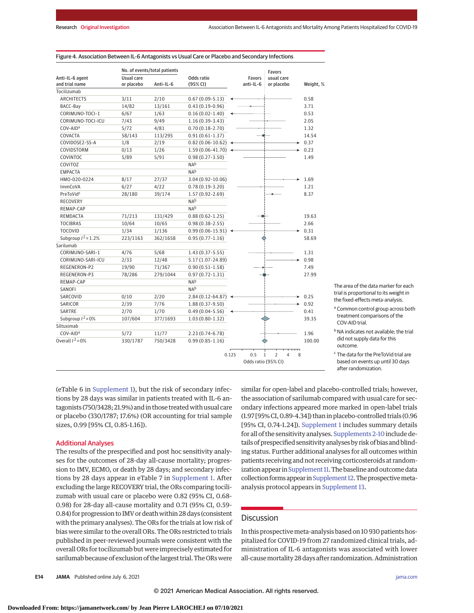|                        |            | No. of events/total patients |                                 |       |                     | <b>Favors</b>                       |   |           |
|------------------------|------------|------------------------------|---------------------------------|-------|---------------------|-------------------------------------|---|-----------|
| Anti-IL-6 agent        | Usual care |                              | Odds ratio                      |       | <b>Favors</b>       | usual care                          |   |           |
| and trial name         | or placebo | Anti-IL-6                    | (95% CI)                        |       | anti-IL-6           | or placebo                          |   | Weight, % |
| Tocilizumab            |            |                              |                                 |       |                     |                                     |   |           |
| <b>ARCHITECTS</b>      | 3/11       | 2/10                         | $0.67(0.09-5.13)$               |       |                     |                                     |   | 0.58      |
| BACC-Bay               | 14/82      | 13/161                       | $0.43(0.19-0.96)$               |       |                     |                                     |   | 3.71      |
| CORIMUNO-TOCI-1        | 6/67       | 1/63                         | $0.16(0.02 - 1.40)$             |       |                     |                                     |   | 0.53      |
| CORIMUNO-TOCI-ICU      | 7/43       | 9/49                         | $1.16(0.39-3.43)$               |       |                     |                                     |   | 2.05      |
| COV-AID <sup>a</sup>   | 5/72       | 4/81                         | $0.70(0.18-2.70)$               |       |                     |                                     |   | 1.32      |
| COVACTA                | 58/143     | 113/295                      | $0.91(0.61-1.37)$               |       |                     |                                     |   | 14.54     |
| COVIDOSE2-SS-A         | 1/8        | 2/19                         | $0.82(0.06 - 10.62)$            |       |                     |                                     |   | 0.37      |
| COVIDSTORM             | 0/13       | 1/26                         | $1.59(0.06-41.70)$              |       |                     |                                     |   | 0.23      |
| COVINTOC               | 5/89       | 5/91                         | $0.98(0.27 - 3.50)$             |       |                     |                                     |   | 1.49      |
| COVITOZ                |            |                              | NAb                             |       |                     |                                     |   |           |
| <b>EMPACTA</b>         |            |                              | NAb                             |       |                     |                                     |   |           |
| HMO-020-0224           | 8/17       | 27/37                        | 3.04 (0.92-10.06)               |       |                     |                                     |   | 1.69      |
| ImmCoVA                | 6/27       | 4/22                         | $0.78(0.19-3.20)$               |       |                     |                                     |   | 1.21      |
| PreToVid <sup>c</sup>  | 28/180     | 39/174                       | $1.57(0.92 - 2.69)$             |       |                     |                                     |   | 8.37      |
| <b>RECOVERY</b>        |            |                              | N <sub>Ab</sub>                 |       |                     |                                     |   |           |
| REMAP-CAP              |            |                              | N <sub>Ab</sub>                 |       |                     |                                     |   |           |
| REMDACTA               | 71/213     | 131/429                      | $0.88(0.62 - 1.25)$             |       |                     |                                     |   | 19.63     |
| <b>TOCIBRAS</b>        | 10/64      | 10/65                        | $0.98(0.38 - 2.55)$             |       |                     |                                     |   | 2.66      |
| <b>TOCOVID</b>         | 1/34       | 1/136                        | $0.99(0.06-15.91)$ $\leftarrow$ |       |                     |                                     |   | 0.31      |
| Subgroup $I^2 = 1.2\%$ | 223/1163   | 362/1658                     | $0.95(0.77 - 1.16)$             |       |                     |                                     |   | 58.69     |
| Sarilumab              |            |                              |                                 |       |                     |                                     |   |           |
| CORIMUNO-SARI-1        | 4/76       | 5/68                         | $1.43(0.37-5.55)$               |       |                     |                                     |   | 1.31      |
| CORIMUNO-SARI-ICU      | 2/33       | 12/48                        | 5.17 (1.07-24.89)               |       |                     |                                     |   | 0.98      |
| REGENERON-P2           | 19/90      | 71/367                       | $0.90(0.51 - 1.58)$             |       |                     |                                     |   | 7.49      |
| REGENERON-P3           | 78/286     | 279/1044                     | $0.97(0.72 - 1.31)$             |       |                     |                                     |   | 27.99     |
| REMAP-CAP              |            |                              | N <sub>Ab</sub>                 |       |                     |                                     |   |           |
| SANOFI                 |            |                              | NAb                             |       |                     |                                     |   |           |
| SARCOVID               | 0/10       | 2/20                         | 2.84 (0.12-64.87)               |       |                     |                                     |   | 0.25      |
| SARICOR                | 2/39       | 7/76                         | 1.88 (0.37-9.50)                |       |                     |                                     |   | 0.92      |
| SARTRE                 | 2/70       | 1/70                         | $0.49(0.04 - 5.56)$             |       |                     |                                     |   | 0.41      |
| Subgroup $I^2 = 0\%$   | 107/604    | 377/1693                     | $1.03(0.80-1.32)$               |       |                     |                                     |   | 39.35     |
| Siltuximab             |            |                              |                                 |       |                     |                                     |   |           |
| COV-AID <sup>a</sup>   | 5/72       | 11/77                        | 2.23 (0.74-6.78)                |       |                     |                                     |   | 1.96      |
| Overall $I^2 = 0%$     | 330/1787   | 750/3428                     | $0.99(0.85 - 1.16)$             |       |                     |                                     |   | 100.00    |
|                        |            |                              |                                 |       |                     |                                     |   |           |
|                        |            |                              |                                 | 0.125 | 0.5                 | $\mathbf{1}$<br>$\overline{2}$<br>4 | 8 |           |
|                        |            |                              |                                 |       | Odds ratio (95% CI) |                                     |   |           |

| Figure 4. Association Between IL-6 Antagonists vs Usual Care or Placebo and Secondary Infections |
|--------------------------------------------------------------------------------------------------|
|--------------------------------------------------------------------------------------------------|

The area of the data marker for each trial is proportional to its weight in the fixed-effects meta-analysis.

- <sup>a</sup> Common control group across both treatment comparisons of the COV-AID trial.
- bNA indicates not available; the trial did not supply data for this outcome.
- <sup>c</sup> The data for the PreToVid trial are based on events up until 30 days after randomization.

(eTable 6 in Supplement 1), but the risk of secondary infections by 28 days was similar in patients treated with IL-6 antagonists (750/3428; 21.9%) and in those treated with usual care or placebo (330/1787; 17.6%) (OR accounting for trial sample sizes, 0.99 [95% CI, 0.85-1.16]).

#### Additional Analyses

The results of the prespecified and post hoc sensitivity analyses for the outcomes of 28-day all-cause mortality; progression to IMV, ECMO, or death by 28 days; and secondary infections by 28 days appear in eTable 7 in Supplement 1. After excluding the large RECOVERY trial, the ORs comparing tocilizumab with usual care or placebo were 0.82 (95% CI, 0.68- 0.98) for 28-day all-cause mortality and 0.71 (95% CI, 0.59- 0.84) for progression to IMV or death within 28 days (consistent with the primary analyses). The ORs for the trials at low risk of bias were similar to the overall ORs. The ORs restricted to trials published in peer-reviewed journals were consistent with the overall ORs for tocilizumab but were imprecisely estimated for sarilumab because of exclusion of the largest trial. The ORswere

similar for open-label and placebo-controlled trials; however, the association of sarilumab compared with usual care for secondary infections appeared more marked in open-label trials (1.97 [95% CI, 0.89-4.34]) than in placebo-controlled trials (0.96 [95% CI, 0.74-1.24]). Supplement 1 includes summary details for all of the sensitivity analyses. Supplements 2-10 include details of prespecified sensitivity analyses by risk of bias and blinding status. Further additional analyses for all outcomes within patients receiving and not receiving corticosteroids at randomization appear in Supplement 11. The baseline and outcome data collection forms appear in Supplement 12. The prospective metaanalysis protocol appears in Supplement 13.

# **Discussion**

In this prospective meta-analysis based on 10 930 patients hospitalized for COVID-19 from 27 randomized clinical trials, administration of IL-6 antagonists was associated with lower all-causemortality 28 days after randomization. Administration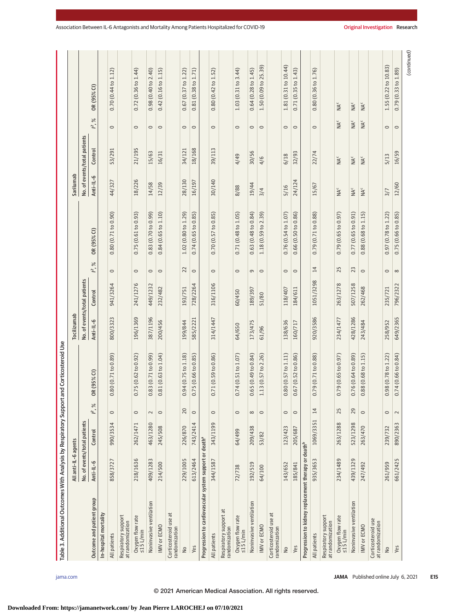| Table 3. Additional Outcomes With Analysis by Respiratory Support and Corticosteroid Use |                      |                              |            |                               |             |                              |               |                     |                          |                              |                 |                          |
|------------------------------------------------------------------------------------------|----------------------|------------------------------|------------|-------------------------------|-------------|------------------------------|---------------|---------------------|--------------------------|------------------------------|-----------------|--------------------------|
|                                                                                          | All anti-IL-6 agents |                              |            |                               | Tocilizumab |                              |               |                     | Sarilumab                |                              |                 |                          |
|                                                                                          |                      | No. of events/total patients |            |                               |             | No. of events/total patients |               |                     |                          | No. of events/total patients |                 |                          |
| Outcome and patient group                                                                | Anti-IL-6            | Control                      | $\%$<br>≃. | OR (95% CI)                   | Anti-IL-6   | Control                      | $\%$<br>ี ∼ิ์ | OR (95% CI)         | Anti-IL-6                | Control                      | $\%$<br>ี ∼ิ์   | OR (95% CI)              |
| In-hospital mortality                                                                    |                      |                              |            |                               |             |                              |               |                     |                          |                              |                 |                          |
| All patients                                                                             | 858/3727             | 990/3534                     | $\circ$    | 80 (0.71 to 0.89)<br>$\circ$  | 800/3323    | 941/3264                     | $\circ$       | 0.80(0.71 to 0.90)  | 44/327                   | 53/291                       | $\circ$         | 0.70(0.44 to 1.12)       |
| Respiratory support<br>at randomization                                                  |                      |                              |            |                               |             |                              |               |                     |                          |                              |                 |                          |
| Oxygen flow rate<br>$\leq$ 15 L/min                                                      | 218/1636             | 262/1471                     | $\circ$    | 0.75(0.62 to 0.92)            | 196/1369    | 241/1276                     | $\circ$       | 0.75(0.61 to 0.93)  | 18/226                   | 21/195                       | $\circ$         | 0.72(0.36 to 1.44)       |
| Noninvasive ventilation                                                                  | 409/1283             | 463/1280                     | $\sim$     | 83 (0.71 to 0.99)<br>0        | 387/1196    | 449/1232                     | $\circ$       | 0.83(0.70 to 0.99)  | 14/58                    | 15/63                        | $\circ$         | 0.98(0.40 to 2.40)       |
| <b>IMV</b> or ECMO                                                                       | 214/500              | 245/508                      | $\circ$    | 81 (0.63 to 1.04)<br>$\circ$  | 200/456     | 232/482                      | $\circ$       | 0.84(0.65 to 1.10)  | 12/39                    | 16/31                        | $\circ$         | 0.42(0.16 to 1.15)       |
| Corticosteroid use at<br>randomization                                                   |                      |                              |            |                               |             |                              |               |                     |                          |                              |                 |                          |
| $\frac{1}{2}$                                                                            | 229/1005             | 226/870                      | 20         | .94 (0.75 to 1.18)<br>0       | 199/844     | 193/751                      | 22            | 1.02(0.80 to 1.29)  | 28/130                   | 34/121                       | $\circ$         | $0.67$ (0.37 to 1.22)    |
| Yes                                                                                      | 613/2464             | 743/2414                     | $\circ$    | .75 (0.66 to 0.85)<br>$\circ$ | 585/2221    | 728/2264                     | $\circ$       | 0.74(0.65 to 0.85)  | 16/197                   | 18/168                       | $\circ$         | 0.81(0.38 to 1.71)       |
| Progression to cardiovascular system support or death <sup>a</sup>                       |                      |                              |            |                               |             |                              |               |                     |                          |                              |                 |                          |
| All patients                                                                             | 344/1587             | 343/1199                     | $\circ$    | .71(0.59 to 0.86)<br>0        | 314/1447    | 316/1106                     | $\circ$       | 0.70(0.57 to 0.85)  | 30/140                   | 39/113                       | $\circ$         | 0.80(0.42 to 1.52)       |
| Respiratory support at<br>randomization                                                  |                      |                              |            |                               |             |                              |               |                     |                          |                              |                 |                          |
| Oxygen flow rate<br>s15 L/min                                                            | 72/738               | 64/499                       | $\circ$    | .74 (0.51 to 1.07)<br>0       | 64/650      | 60/450                       | $\circ$       | 0.71 (0.48 to 1.05) | 8/88                     | 4/49                         | $\circ$         | 1.03(0.31 to 3.44)       |
| Noninvasive ventilation                                                                  | 192/519              | 209/438                      | $\infty$   | .65(0.49 to 0.84)<br>0        | 173/475     | 189/397                      | $\sigma$      | 0.63(0.48 to 0.84)  | 19/44                    | 30/56                        | $\circ$         | $0.64$ (0.28 to $1.45$ ) |
| <b>IMV</b> or ECMO                                                                       | 64/100               | 53/82                        | $\circ$    | .13 (0.57 to 2.26)            | 61/96       | 51/80                        | $\circ$       | 1.18 (0.59 to 2.39) | 3/4                      | 4/6                          | $\circ$         | 1.50 (0.09 to 25.39)     |
| Corticosteroid use at<br>randomization                                                   |                      |                              |            |                               |             |                              |               |                     |                          |                              |                 |                          |
| $\overline{\mathsf{a}}$                                                                  | 143/652              | 123/423                      | $\circ$    | .80 (0.57 to 1.11)<br>0       | 138/636     | 118/407                      | $\circ$       | 0.76(0.54 to 1.07)  | 5/16                     | 6/18                         | $\circ$         | 1.81 (0.31 to 10.44)     |
| Yes                                                                                      | 185/841              | 205/687                      | $\circ$    | 67 (0.52 to 0.86)<br>$\circ$  | 160/717     | 184/611                      | $\circ$       | 0.66(0.50 to 0.86)  | 24/124                   | 32/93                        | $\circ$         | 0.71(0.35 to 1.43)       |
| Progression to kidney replacement therapy or death <sup>b</sup>                          |                      |                              |            |                               |             |                              |               |                     |                          |                              |                 |                          |
| All patients                                                                             | 935/3653             | 1069/3351                    | 14         | .79 (0.71 to 0.88)<br>$\circ$ | 920/3586    | 1051/3298                    | 14            | 0.79(0.71 to 0.88)  | 15/67                    | 22/74                        | $\circ$         | 0.80(0.36 to 1.76)       |
| Respiratory support<br>at randomization                                                  |                      |                              |            |                               |             |                              |               |                     |                          |                              |                 |                          |
| Oxygen flow rate<br>≤15 L/min                                                            | 234/1489             | 263/1288                     | 25         | 79 (0.65 to 0.97)<br>0        | 234/1477    | 263/1278                     | 25            | 0.79(0.65 to 0.97)  | $\mathsf{NA}^\mathsf{c}$ | NA <sup>c</sup>              | NA <sup>c</sup> | $\mathsf{NA}^\mathsf{c}$ |
| Noninvasive ventilation                                                                  | 439/1329             | 523/1298                     | 29         | .76(0.64 to 0.89)             | 428/1286    | 507/1258                     | 23            | 0.77(0.65 to 0.91)  | $NA^c$                   | $\mathsf{NA}^\mathsf{c}$     | NA <sup>c</sup> | NA <sup>c</sup>          |
| IMV or ECMO                                                                              | 247/492              | 263/470                      | $\circ$    | 88 (0.68 to 1.15)<br>$\circ$  | 243/484     | 262/468                      | $\circ$       | 0.88 (0.68 to 1.15) | $\mathsf{NA}^\mathsf{c}$ | NA <sup>c</sup>              | NA <sup>c</sup> | NA <sup>c</sup>          |
| Corticosteroid use<br>at randomization                                                   |                      |                              |            |                               |             |                              |               |                     |                          |                              |                 |                          |
| $\frac{1}{2}$                                                                            | 261/959              | 239/732                      | $\circ$    | .98 (0.78 to 1.22)<br>$\circ$ | 258/952     | 235/721                      | $\circ$       | 0.97 (0.78 to 1.22) | 3/7                      | 5/13                         | $\circ$         | 1.55 (0.22 to 10.83)     |
| Yes                                                                                      | 661/2425             | 890/2363                     | $\sim$     | .74(0.66 to 0.84)             | 649/2365    | 796/2322                     | $\infty$      | 0.75(0.66 to 0.85)  | 12/60                    | 16/59                        | $\circ$         | 0.79(0.33 to 1.89)       |
|                                                                                          |                      |                              |            |                               |             |                              |               |                     |                          |                              |                 | (continued)              |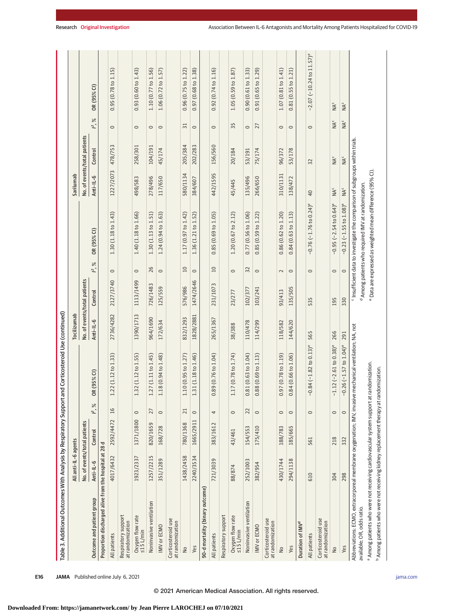| Table 3. Additional Outcomes With Analysis by Respiratory Support                                                                                                                      |                              |           |                 | and Corticosteroid Use (continued)         |             |                              |                 |                                                                                          |                               |                              |                             |                                              |
|----------------------------------------------------------------------------------------------------------------------------------------------------------------------------------------|------------------------------|-----------|-----------------|--------------------------------------------|-------------|------------------------------|-----------------|------------------------------------------------------------------------------------------|-------------------------------|------------------------------|-----------------------------|----------------------------------------------|
|                                                                                                                                                                                        | All anti-IL-6 agents         |           |                 |                                            | Tocilizumab |                              |                 |                                                                                          | Sarilumab                     |                              |                             |                                              |
|                                                                                                                                                                                        | No. of events/total patients |           |                 |                                            |             | No. of events/total patients |                 |                                                                                          |                               | No. of events/total patients |                             |                                              |
| Outcome and patient group                                                                                                                                                              | Anti-IL-6                    | Control   | $\approx$<br>∼. | OR (95% CI)                                | Anti-IL-6   | Control                      | $\approx$<br>Ľ, | OR (95% CI)                                                                              | Anti-IL-6                     | Control                      | $\approx$<br>$\mathfrak{L}$ | OR (95% CI)                                  |
| Proportion discharged alive from the hospital at 28 d                                                                                                                                  |                              |           |                 |                                            |             |                              |                 |                                                                                          |                               |                              |                             |                                              |
| All patients                                                                                                                                                                           | 4017/6432                    | 2592/4472 | 16              | 1.22 (1.12 to 1.33)                        | 2736/4282   | 2127/3740                    | $\circ$         | 1.30 (1.18 to 1.43)                                                                      | 1227/2073                     | 478/753                      | $\circ$                     | 0.95 (0.78 to 1.15)                          |
| Respiratory support<br>at randomization                                                                                                                                                |                              |           |                 |                                            |             |                              |                 |                                                                                          |                               |                              |                             |                                              |
| Oxygen flow rate<br>≤15 L/min                                                                                                                                                          | 1923/2337                    | 1371/1800 | $\circ$         | 1.32 (1.12 to 1.55)                        | 1390/1713   | 1113/1499                    | $\circ$         | 1.40 (1.18 to 1.66)                                                                      | 498/583                       | 258/301                      | $\circ$                     | 0.93(0.60 to 1.43)                           |
| Noninvasive ventilation                                                                                                                                                                | 1257/2215                    | 820/1659  | 27              | 1.27 (1.11 to 1.45)                        | 964/1690    | 726/1483                     | 26              | 1.30 (1.13 to 1.51)                                                                      | 278/496                       | 104/191                      | $\circ$                     | 1.10 (0.77 to 1.56)                          |
| <b>IMV</b> or ECMO                                                                                                                                                                     | 351/1289                     | 168/728   | $\circ$         | 1.18 (0.94 to 1.48)                        | 172/634     | 125/559                      | $\circ$         | 1.24 (0.94 to 1.63)                                                                      | 117/650                       | 45/174                       | $\circ$                     | 1.06(0.72 to 1.57)                           |
| Corticosteroid use<br>at randomization                                                                                                                                                 |                              |           |                 |                                            |             |                              |                 |                                                                                          |                               |                              |                             |                                              |
| $\overline{a}$                                                                                                                                                                         | 1438/2458                    | 780/1368  | 21              | 1.10(0.95 to 1.27)                         | 832/1293    | 576/986                      | 10              | 1.17 (0.97 to 1.42)                                                                      | 580/1134                      | 205/384                      | $\overline{31}$             | 0.96(0.75 to 1.22)                           |
| Yes                                                                                                                                                                                    | 2240/3534                    | 1665/2911 | $\circ$         | 1.31 (1.18 to 1.46)                        | 1828/2881   | 1474/2646                    | $\circ$         | 1.36 (1.21 to 1.52)                                                                      | 384/607                       | 202/283                      | $\circ$                     | 0.97(0.68 to 1.38)                           |
| 90-d mortality (binary outcome)                                                                                                                                                        |                              |           |                 |                                            |             |                              |                 |                                                                                          |                               |                              |                             |                                              |
| All patients                                                                                                                                                                           | 721/3039                     | 383/1612  | 4               | 0.89(0.76 to 1.04)                         | 265/1367    | 231/1073                     | 10              | 0.85(0.69 to 1.05)                                                                       | 442/1595                      | 156/560                      | $\circ$                     | 0.92(0.74 to 1.16)                           |
| Respiratory support                                                                                                                                                                    |                              |           |                 |                                            |             |                              |                 |                                                                                          |                               |                              |                             |                                              |
| Oxygen flow rate<br>$\leq$ 15 L/min                                                                                                                                                    | 88/874                       | 43/461    | $\circ$         | 1.17 (0.78 to 1.74)                        | 38/388      | 23/277                       | $\circ$         | 1.20 (0.67 to 2.12)                                                                      | 45/445                        | 20/184                       | 35                          | 1.05(0.59 to 1.87)                           |
| Noninvasive ventilation                                                                                                                                                                | 252/1003                     | 154/553   | 22              | 0.81(0.63 to 1.04)                         | 110/478     | 102/377                      | 32              | 0.77(0.56 to 1.06)                                                                       | 135/496                       | 53/191                       | $\circ$                     | 0.90(0.61 to 1.33)                           |
| IMV or ECMO                                                                                                                                                                            | 382/954                      | 175/410   | $\circ$         | 0.88(0.69 to 1.13)                         | 114/299     | 103/241                      | $\circ$         | 0.85(0.59 to 1.22)                                                                       | 266/650                       | 75/174                       | 27                          | 0.91(0.65 to 1.29)                           |
| Corticosteroid use<br>at randomization                                                                                                                                                 |                              |           |                 |                                            |             |                              |                 |                                                                                          |                               |                              |                             |                                              |
| $\frac{1}{2}$                                                                                                                                                                          | 430/1744                     | 188/783   | $\circ$         | 0.97(0.78 to 1.19)                         | 118/582     | 93/413                       | $\sim$          | 0.86(0.62 to 1.20)                                                                       | 310/1131                      | 96/372                       | $\circ$                     | 1.07(0.81 to 1.41)                           |
| Yes                                                                                                                                                                                    | 294/1138                     | 185/665   | $\circ$         | 0.84(0.66 to 1.06)                         | 144/620     | 135/505                      | $\circ$         | 0.84(0.63 to 1.13)                                                                       | 138/472                       | 53/178                       | $\circ$                     | 0.81(0.55 to 1.21)                           |
| Duration of IMV <sup>d</sup>                                                                                                                                                           |                              |           |                 |                                            |             |                              |                 |                                                                                          |                               |                              |                             |                                              |
| All patients                                                                                                                                                                           | 610                          | 561       | $\circ$         | $-0.84 (-1.82 to 0.13)$ <sup>e</sup>       | 565         | 535                          | $\circ$         | $-0.76(-1.76 to 0.24)$ <sup>e</sup>                                                      | 40                            | 32                           | $\circ$                     | $-2.07$ ( $-10.24$ to $11.57$ ) <sup>e</sup> |
| Corticosteroid use<br>at randomization                                                                                                                                                 |                              |           |                 |                                            |             |                              |                 |                                                                                          |                               |                              |                             |                                              |
| $\overline{a}$                                                                                                                                                                         | 304                          | 218       | $\circ$         | $-1.12$ ( $-2.61$ to 0.38) <sup>e</sup>    | 266         | 195                          | $\circ$         | $-0.95$ ( $-2.54$ to 0.64) <sup>e</sup>                                                  | $\overline{M}^{\overline{C}}$ | NA <sup>c</sup>              | ЙN с                        | ŇN                                           |
| Yes                                                                                                                                                                                    | 298                          | 332       | $\circ$         | $-0.26$ ( $-1.57$ to $1.04$ ) <sup>e</sup> | 291         | 330                          | $\circ$         | $-0.23$ ( $-1.55$ to $1.08$ ) <sup>e</sup>                                               | <b>NA</b> <sup>c</sup>        | NA <sup>c</sup>              | $M^c$                       | NA <sup>c</sup>                              |
| Abbreviations: ECMO, extracorporeal membrane oxygenation; IMV, invasive mechanical ventilation; NA, not                                                                                |                              |           |                 |                                            |             |                              |                 | <sup>c</sup> Insufficient data to investigate the comparison of subgroups within trials. |                               |                              |                             |                                              |
| available; OR, odds ratio.                                                                                                                                                             |                              |           |                 | randomization.                             |             |                              |                 | <sup>d</sup> Among patients who required IMV at randomization.                           |                               |                              |                             |                                              |
| <sup>b</sup> Among patients who were not receiving kidney replacement therapy at randomization.<br><sup>a</sup> Among patients who were not receiving cardiovascular system support at |                              |           |                 |                                            |             |                              |                 | <sup>e</sup> Data are expressed as weighted mean difference (95% CI).                    |                               |                              |                             |                                              |
|                                                                                                                                                                                        |                              |           |                 |                                            |             |                              |                 |                                                                                          |                               |                              |                             |                                              |

**Downloaded From: https://jamanetwork.com/ by Jean Pierre LAROCHEJ on 07/10/2021**

Research Original Investigation **Antiber 2018** Association Between IL-6 Antagonists and Mortality Among Patients Hospitalized for COVID-19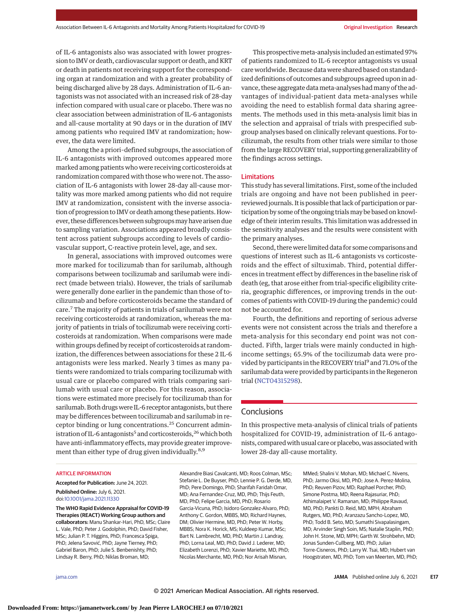of IL-6 antagonists also was associated with lower progression to IMV or death, cardiovascular support or death, and KRT or death in patients not receiving support for the corresponding organ at randomization and with a greater probability of being discharged alive by 28 days. Administration of IL-6 antagonists was not associated with an increased risk of 28-day infection compared with usual care or placebo. There was no clear association between administration of IL-6 antagonists and all-cause mortality at 90 days or in the duration of IMV among patients who required IMV at randomization; however, the data were limited.

Among the a priori–defined subgroups, the association of IL-6 antagonists with improved outcomes appeared more marked among patients who were receiving corticosteroids at randomization compared with those who were not. The association of IL-6 antagonists with lower 28-day all-cause mortality was more marked among patients who did not require IMV at randomization, consistent with the inverse association of progression to IMV or death among these patients. However, these differences between subgroupsmay have arisen due to sampling variation. Associations appeared broadly consistent across patient subgroups according to levels of cardiovascular support, C-reactive protein level, age, and sex.

In general, associations with improved outcomes were more marked for tocilizumab than for sarilumab, although comparisons between tocilizumab and sarilumab were indirect (made between trials). However, the trials of sarilumab were generally done earlier in the pandemic than those of tocilizumab and before corticosteroids became the standard of care.<sup>7</sup> The majority of patients in trials of sarilumab were not receiving corticosteroids at randomization, whereas the majority of patients in trials of tocilizumab were receiving corticosteroids at randomization. When comparisons were made within groups defined by receipt of corticosteroids at randomization, the differences between associations for these 2 IL-6 antagonists were less marked. Nearly 3 times as many patients were randomized to trials comparing tocilizumab with usual care or placebo compared with trials comparing sarilumab with usual care or placebo. For this reason, associations were estimated more precisely for tocilizumab than for sarilumab. Both drugs were IL-6 receptor antagonists, but there may be differences between tocilizumab and sarilumab in receptor binding or lung concentrations.<sup>25</sup> Concurrent administration of IL-6 antagonists<sup>5</sup> and corticosteroids,<sup>26</sup> which both have anti-inflammatory effects, may provide greater improvement than either type of drug given individually.<sup>8,9</sup>

This prospective meta-analysis included an estimated 97% of patients randomized to IL-6 receptor antagonists vs usual care worldwide. Because data were shared based on standardized definitions of outcomes and subgroups agreed upon in advance, these aggregate data meta-analyses had many of the advantages of individual-patient data meta-analyses while avoiding the need to establish formal data sharing agreements. The methods used in this meta-analysis limit bias in the selection and appraisal of trials with prespecified subgroup analyses based on clinically relevant questions. For tocilizumab, the results from other trials were similar to those from the large RECOVERY trial, supporting generalizability of the findings across settings.

#### Limitations

This study has several limitations. First, some of the included trials are ongoing and have not been published in peerreviewedjournals. It is possible that lack of participation or participation by some of the ongoing trials may be based on knowledge of their interim results. This limitation was addressed in the sensitivity analyses and the results were consistent with the primary analyses.

Second, there were limited data for some comparisons and questions of interest such as IL-6 antagonists vs corticosteroids and the effect of siltuximab. Third, potential differences in treatment effect by differences in the baseline risk of death (eg, that arose either from trial-specific eligibility criteria, geographic differences, or improving trends in the outcomes of patients with COVID-19 during the pandemic) could not be accounted for.

Fourth, the definitions and reporting of serious adverse events were not consistent across the trials and therefore a meta-analysis for this secondary end point was not conducted. Fifth, larger trials were mainly conducted in highincome settings; 65.9% of the tocilizumab data were provided by participants in the RECOVERY trial<sup>9</sup> and 71.0% of the sarilumab data were provided by participants in the Regeneron trial (NCT04315298).

# **Conclusions**

In this prospective meta-analysis of clinical trials of patients hospitalized for COVID-19, administration of IL-6 antagonists, compared with usual care or placebo, was associated with lower 28-day all-cause mortality.

#### ARTICLE INFORMATION

**Accepted for Publication:** June 24, 2021. **Published Online:** July 6, 2021. doi:10.1001/jama.2021.11330

**The WHO Rapid Evidence Appraisal for COVID-19 Therapies (REACT) Working Group authors and collaborators:** Manu Shankar-Hari, PhD, MSc; Claire L. Vale, PhD; Peter J. Godolphin, PhD; David Fisher, MSc; Julian P. T. Higgins, PhD; Francesca Spiga, PhD; Jelena Savović, PhD; Jayne Tierney, PhD; Gabriel Baron, PhD; Julie S. Benbenishty, PhD; Lindsay R. Berry, PhD; Niklas Broman, MD;

Alexandre Biasi Cavalcanti, MD; Roos Colman, MSc; Stefanie L. De Buyser, PhD; Lennie P. G. Derde, MD, PhD; Pere Domingo, PhD; Sharifah Faridah Omar, MD; Ana Fernandez-Cruz, MD, PhD; Thijs Feuth, MD, PhD; Felipe Garcia, MD, PhD; Rosario Garcia-Vicuna, PhD; Isidoro Gonzalez-Alvaro, PhD; Anthony C. Gordon, MBBS, MD; Richard Haynes, DM; Olivier Hermine, MD, PhD; Peter W. Horby, MBBS; Nora K. Horick, MS; Kuldeep Kumar, MSc; Bart N. Lambrecht, MD, PhD; Martin J. Landray, PhD; Lorna Leal, MD, PhD; David J. Lederer, MD; Elizabeth Lorenzi, PhD; Xavier Mariette, MD, PhD; Nicolas Merchante, MD, PhD; Nor Arisah Misnan,

MMed; Shalini V. Mohan, MD; Michael C. Nivens, PhD; Jarmo Oksi, MD, PhD; Jose A. Perez-Molina, PhD; Reuven Pizov, MD; Raphael Porcher, PhD; Simone Postma, MD; Reena Rajasuriar, PhD; Athimalaipet V. Ramanan, MD; Philippe Ravaud, MD, PhD; Pankti D. Reid, MD, MPH; Abraham Rutgers, MD, PhD; Aranzazu Sancho-Lopez, MD, PhD; Todd B. Seto, MD; Sumathi Sivapalasingam, MD; Arvinder Singh Soin, MS; Natalie Staplin, PhD; John H. Stone, MD, MPH; Garth W. Strohbehn, MD; Jonas Sunden-Cullberg, MD, PhD; Julian Torre-Cisneros, PhD; Larry W. Tsai, MD; Hubert van Hoogstraten, MD, PhD; Tom van Meerten, MD, PhD;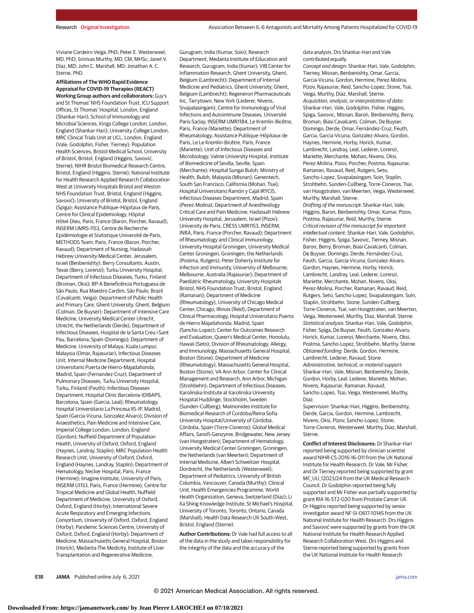Viviane Cordeiro Veiga, PhD; Peter E. Westerweel, MD, PhD; Srinivas Murthy, MD, CM, MHSc; Janet V. Diaz, MD; John C. Marshall, MD; Jonathan A. C. Sterne, PhD.

# **Affiliations of The WHO Rapid Evidence Appraisal for COVID-19 Therapies (REACT)**

**Working Group authors and collaborators:** Guy's and St Thomas' NHS Foundation Trust, ICU Support Offices, St Thomas' Hospital, London, England (Shankar-Hari); School of Immunology and Microbial Sciences, Kings College London, London, England (Shankar-Hari); University College London, MRC Clinical Trials Unit at UCL, London, England (Vale, Godolphin, Fisher, Tierney); Population Health Sciences, Bristol Medical School, University of Bristol, Bristol, England (Higgins, Savović, Sterne); NIHR Bristol Biomedical Research Centre, Bristol, England (Higgins, Sterne); National Institute for Health Research Applied Research Collaboration West at University Hospitals Bristol and Weston NHS Foundation Trust, Bristol, England (Higgins, Savović); University of Bristol, Bristol, England (Spiga); Assistance Publique–Hôpitaux de Paris, Centre for Clinical Epidemiology, Hôpital Hôtel-Dieu, Paris, France (Baron, Porcher, Ravaud); INSERM UMRS-1153, Centre de Recherche Epidémiologie et Statistique Université de Paris, METHODS Team, Paris, France (Baron, Porcher, Ravaud); Department of Nursing, Hadassah Hebrew University Medical Center, Jerusalem, Israel (Benbenishty); Berry Consultants, Austin, Texas (Berry, Lorenzi); Turku University Hospital, Department of Infectious Diseases, Turku, Finland (Broman, Oksi); BP-A Beneficência Portuguesa de São Paulo, Rua Maestro Cardim, São Paulo, Brazil (Cavalcanti, Veiga); Department of Public Health and Primary Care, Ghent University, Ghent, Belgium (Colman, De Buyser); Department of Intensive Care Medicine, University Medical Center Utrecht, Utrecht, the Netherlands (Derde); Department of Infectious Diseases, Hospital de la Santa Creu i Sant Pau, Barcelona, Spain (Domingo); Department of Medicine, University of Malaya, Kuala Lumpur, Malaysia (Omar, Rajasuriar); Infectious Diseases Unit, Internal Medicine Department, Hospital Universitario Puerta de Hierro-Majadahonda, Madrid, Spain (Fernandez-Cruz); Department of Pulmonary Diseases, Turku University Hospital, Turku, Finland (Feuth); Infectious Diseases Department, Hospital Clinic Barcelona-IDIBAPS, Barcelona, Spain (Garcia, Leal); Rheumatology, Hospital Universitario La Princesa IIS-IP, Madrid, Spain (Garcia-Vicuna, Gonzalez-Alvaro); Division of Anaesthetics, Pain Medicine and Intensive Care, Imperial College London, London, England (Gordon); Nuffield Department of Population Health, University of Oxford, Oxford, England (Haynes, Landray, Staplin); MRC Population Health Research Unit, University of Oxford, Oxford, England (Haynes, Landray, Staplin); Department of Hematology, Necker Hospital, Paris, France (Hermine); Imagine Institute, University of Paris, INSERM U1153, Paris, France (Hermine); Centre for Tropical Medicine and Global Health, Nuffield Department of Medicine, University of Oxford, Oxford, England (Horby); International Severe Acute Respiratory and Emerging Infections Consortium, University of Oxford, Oxford, England (Horby); Pandemic Sciences Centre, University of Oxford, Oxford, England (Horby); Department of Medicine, Massachusetts General Hospital, Boston (Horick); Medanta-The Medicity, Institute of Liver Transplantation and Regenerative Medicine,

Gurugram, India (Kumar, Soin); Research Department, Medanta Institute of Education and Research, Gurugram, India (Kumar); VIB Center for Inflammation Research, Ghent University, Ghent, Belgium (Lambrecht); Department of Internal Medicine and Pediatrics, Ghent University, Ghent, Belgium (Lambrecht); Regeneron Pharmaceuticals Inc, Tarrytown, New York (Lederer, Nivens, Sivapalasingam); Centre for Immunology of Viral Infections and Autoimmune Diseases, Université Paris-Saclay, INSERM UMR1184, Le Kremlin-Bicêtre, Paris, France (Mariette); Department of Rheumatology, Assistance Publique–Hôpitaux de Paris, Le Le Kremlin-Bicêtre, Paris, France (Mariette); Unit of Infectious Diseases and Microbiology, Valme University Hospital, Institute of Biomedicine of Sevilla, Seville, Spain (Merchante); Hospital Sungai Buloh, Ministry of Health, Buloh, Malaysia (Misnan); Genentech, South San Francisco, California (Mohan, Tsai); Hospital Universitario Ramón y Cajal IRYCIS, Infectious Diseases Department, Madrid, Spain (Perez-Molina); Department of Anesthesilogy Critical Care and Pain Medicine, Hadassah Hebrew University Hospital, Jerusalem, Israel (Pizov); University de Paris, CRESS UMR1153, INSERM, INRA, Paris, France (Porcher, Ravaud); Department of Rheumatology and Clinical Immunology, University Hospital Groningen, University Medical Center Groningen, Groningen, the Netherlands (Postma, Rutgers); Peter Doherty Institute for Infection and Immunity, University of Melbourne, Melbourne, Australia (Rajasuriar); Department of Paediatric Rheumatology, University Hospitals Bristol, NHS Foundation Trust, Bristol, England (Ramanan); Department of Medicine (Rheumatology), University of Chicago Medical Center, Chicago, Illinois (Reid); Department of Clinical Pharmacology, Hospital Universitario Puerta de Hierro Majadahonda, Madrid, Spain (Sancho-Lopez); Center for Outcomes Research and Evaluation, Queen's Medical Center, Honolulu, Hawaii (Seto); Division of Rheumatology, Allergy, and Immunology, Massachusetts General Hospital, Boston (Stone); Department of Medicine (Rheumatology), Massachusetts General Hospital, Boston (Stone); VA Ann Arbor, Center for Clinical Management and Research, Ann Arbor, Michigan (Strohbehn); Department of Infectious Diseases, Karolinska Institute at Karolinska University Hospital Huddinge, Stockholm, Sweden (Sunden-Cullberg); Maimonides Institute for Biomedical Research of Cordoba/Reina Sofia University Hospital/University of Córdoba, Córdoba, Spain (Torre-Cisneros); Global Medical Affairs, Sanofi-Genzyme, Bridgewater, New Jersey (van Hoogstraten); Department of Hematology, University Medical Center Groningen, Groningen, the Netherlands (van Meerten); Department of Internal Medicine, Albert Schweitzer Hospital, Dordrecht, the Netherlands (Westerweel); Department of Pediatrics, University of British Columbia, Vancouver, Canada (Murthy); Clinical Unit, Health Emergencies Programme, World Health Organization, Geneva, Switzerland (Diaz); Li Ka Shing Knowledge Institute, St Michael's Hospital, University of Toronto, Toronto, Ontario, Canada (Marshall); Health Data Research UK South-West, Bristol, England (Sterne).

**Author Contributions:** Dr Vale had full access to all of the data in the study and takes responsibility for the integrity of the data and the accuracy of the

data analysis. Drs Shankar-Hari and Vale contributed equally. Concept and design: Shankar-Hari, Vale, Godolphin, Tierney, Misnan, Benbenishty, Omar, Garcia, Garcia-Vicuna, Gordon, Hermine, Perez-Molina, Pizov, Rajasuriar, Reid, Sancho-Lopez, Stone, Tsai, Veiga, Murthy, Diaz, Marshall, Sterne. Acquisition, analysis, or interpretation of data: Shankar-Hari, Vale, Godolphin, Fisher, Higgins, Spiga, Savovic, Misnan, Baron, Benbenishty, Berry, Broman, Biasi Cavalcanti, Colman, De Buyser, Domingo, Derde, Omar, Fernández-Cruz, Feuth, Garcia, Garcia-Vicuna, Gonzalez-Alvaro, Gordon, Haynes, Hermine, Horby, Horick, Kumar, Lambrecht, Landray, Leal, Lederer, Lorenzi, Mariette, Merchante, Mohan, Nivens, Oksi, Perez-Molina, Pizov, Porcher, Postma, Rajasuriar, Ramanan, Ravaud, Reid, Rutgers, Seto, Sancho-Lopez, Sivapalasingam, Soin, Staplin, Strohbehn, Sunden-Cullberg, Torre-Cisneros, Tsai, van Hoogstraten, van Meerten, Veiga, Westerweel,

Murthy, Marshall, Sterne. Drafting of the manuscript: Shankar-Hari, Vale, Higgins, Baron, Benbenishty, Omar, Kumar, Pizov, Postma, Rajasuriar, Reid, Murthy, Sterne. Critical revision of the manuscript for important intellectual content: Shankar-Hari, Vale, Godolphin, Fisher, Higgins, Spiga, Savovic, Tierney, Misnan, Baron, Berry, Broman, Biasi Cavalcanti, Colman, De Buyser, Domingo, Derde, Fernández-Cruz, Feuth, Garcia, Garcia-Vicuna, Gonzalez-Alvaro, Gordon, Haynes, Hermine, Horby, Horick, Lambrecht, Landray, Leal, Lederer, Lorenzi, Mariette, Merchante, Mohan, Nivens, Oksi, Perez-Molina, Porcher, Ramanan, Ravaud, Reid, Rutgers, Seto, Sancho-Lopez, Sivapalasingam, Soin, Staplin, Strohbehn, Stone, Sunden-Cullberg, Torre-Cisneros, Tsai, van Hoogstraten, van Meerten, Veiga, Westerweel, Murthy, Diaz, Marshall, Sterne. Statistical analysis: Shankar-Hari, Vale, Godolphin, Fisher, Spiga, De Buyser, Feuth, Gonzalez-Alvaro, Horick, Kumar, Lorenzi, Merchante, Nivens, Oksi, Postma, Sancho-Lopez, Strohbehn, Murthy, Sterne. Obtained funding: Derde, Gordon, Hermine, Lambrecht, Lederer, Ravaud, Stone. Administrative, technical, or material support: Shankar-Hari, Vale, Misnan, Benbenishty, Derde, Gordon, Horby, Leal, Lederer, Mariette, Mohan, Nivens, Rajasuriar, Ramanan, Ravaud, Sancho-Lopez, Tsai, Veiga, Westerweel, Murthy, Diaz.

Supervision: Shankar-Hari, Higgins, Benbenishty, Derde, Garcia, Gordon, Hermine, Lambrecht, Nivens, Oksi, Pizov, Sancho-Lopez, Stone, Torre-Cisneros, Westerweel, Murthy, Diaz, Marshall, Sterne.

**Conflict of Interest Disclosures:** Dr Shankar-Hari reported being supported by clinician scientist award NIHR-CS-2016-16-011 from the UK National Institute for Health Research. Dr Vale, Mr Fisher, and Dr Tierney reported being supported by grant MC\_UU\_12023/24 from the UK Medical Research Council. Dr Godolphin reported being fully supported and Mr Fisher was partially supported by grant RIA 16-ST2-020 from Prostate Cancer UK. Dr Higgins reported being supported by senior investigator award NF-SI-0617-10145 from the UK National Institute for Health Research. Drs Higgins and Savović were supported by grants from the UK National Institute for Health Research Applied Research Collaboration West. Drs Higgins and Sterne reported being supported by grants from the UK National Institute for Health Research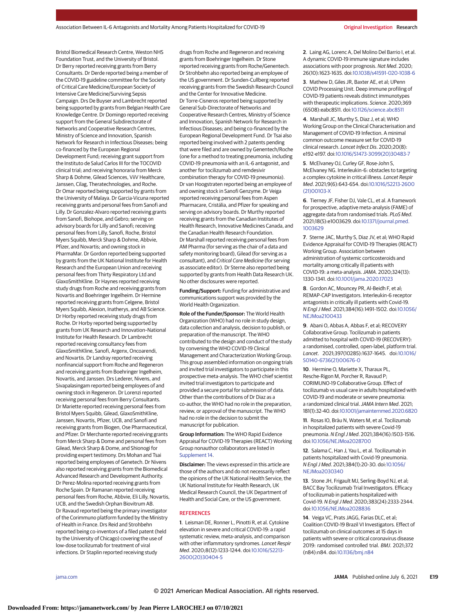Bristol Biomedical Research Centre, Weston NHS Foundation Trust, and the University of Bristol. Dr Berry reported receiving grants from Berry Consultants. Dr Derde reported being a member of the COVID-19 guideline committee for the Society of Critical Care Medicine/European Society of Intensive Care Medicine/Surviving Sepsis Campaign. Drs De Buyser and Lambrecht reported being supported by grants from Belgian Health Care Knowledge Centre. Dr Domingo reported receiving support from the General Subdirectorate of Networks and Cooperative Research Centres, Ministry of Science and Innovation, Spanish Network for Research in Infectious Diseases; being co-financed by the European Regional Development Fund; receiving grant support from the Instituto de Salud Carlos III for the TOCOVID clinical trial; and receiving honoraria from Merck Sharp & Dohme, Gilead Sciences, ViiV Healthcare, Janssen, Cilag, Theratechnologies, and Roche. Dr Omar reported being supported by grants from the University of Malaya. Dr Garcia-Vicuna reported receiving grants and personal fees from Sanofi and Lilly. Dr Gonzalez-Alvaro reported receiving grants from Sanofi, Biohope, and Gebro; serving on advisory boards for Lilly and Sanofi; receiving personal fees from Lilly, Sanofi, Roche, Bristol Myers Squibb, Merck Sharp & Dohme, Abbvie, Pfizer, and Novartis; and owning stock in PharmaMar. Dr Gordon reported being supported by grants from the UK National Institute for Health Research and the European Union and receiving personal fees from Thirty Respiratory Ltd and GlaxoSmithKline. Dr Haynes reported receiving study drugs from Roche and receiving grants from Novartis and Boehringer Ingelheim. Dr Hermine reported receiving grants from Celgene, Bristol Myers Squibb, Alexion, Inatherys, and AB Science. Dr Horby reported receiving study drugs from Roche. Dr Horby reported being supported by grants from UK Research and Innovation–National Institute for Health Research. Dr Lambrecht reported receiving consultancy fees from GlaxoSmithKline, Sanofi, Argenx, Oncoarendi, and Novartis. Dr Landray reported receiving nonfinancial support from Roche and Regeneron and receiving grants from Boehringer Ingelheim, Novartis, and Janssen. Drs Lederer, Nivens, and Sivapalasingam reported being employees of and owning stock in Regeneron. Dr Lorenzi reported receiving personal fees from Berry Consultants. Dr Mariette reported receiving personal fees from Bristol Myers Squibb, Gilead, GlaxoSmithKline, Janssen, Novartis, Pfizer, UCB, and Sanofi and receiving grants from Biogen, Ose Pharmaceutical, and Pfizer. Dr Merchante reported receiving grants from Merck Sharp & Dome and personal fees from Gilead, Merck Sharp & Dome, and Shionogi for providing expert testimony. Drs Mohan and Tsai reported being employees of Genetech. Dr Nivens also reported receiving grants from the Biomedical Advanced Research and Development Authority. Dr Perez-Molina reported receiving grants from Roche Spain. Dr Ramanan reported receiving personal fees from Roche, Abbvie, Eli Lilly, Novartis, UCB, and the Swedish Orphan Biovitrum AB. Dr Ravaud reported being the primary investigator of the Corimmuno platform funded by the Ministry of Health in France. Drs Reid and Strohbehn reported being co-inventors of a filed patent (held by the University of Chicago) covering the use of low-dose tocilizumab for treatment of viral infections. Dr Staplin reported receiving study

drugs from Roche and Regeneron and receiving grants from Boehringer Ingelheim. Dr Stone reported receiving grants from Roche/Genentech. Dr Strohbehn also reported being an employee of the US government. Dr Sunden-Cullberg reported receiving grants from the Swedish Research Council and the Center for Innovative Medicine. Dr Torre-Cisneros reported being supported by General Sub-Directorate of Networks and Cooperative Research Centres, Ministry of Science and Innovation, Spanish Network for Research in Infectious Diseases; and being co-financed by the European Regional Development Fund. Dr Tsai also reported being involved with 2 patents pending that were filed and are owned by Genentech/Roche (one for a method to treating pneumonia, including COVID-19 pneumonia with an IL-6 antagonist, and another for tocilizumab and remdesivir combination therapy for COVID-19 pneumonia). Dr van Hoogstraten reported being an employee of and owning stock in Sanofi Genzyme. Dr Veiga reported receiving personal fees from Aspen Pharmacare, Cristália, and Pfizer for speaking and serving on advisory boards. Dr Murthy reported receiving grants from the Canadian Institutes of Health Research, Innovative Medicines Canada, and the Canadian Health Research Foundation. Dr Marshall reported receiving personal fees from AM Pharma (for serving as the chair of a data and safety monitoring board), Gilead (for serving as a consultant), and Critical Care Medicine (for serving as associate editor). Dr Sterne also reported being supported by grants from Health Data Research UK. No other disclosures were reported.

**Funding/Support:** Funding for administrative and communications support was provided by the World Health Organization.

**Role of the Funder/Sponsor:** The World Health Organization (WHO) had no role in study design, data collection and analysis, decision to publish, or preparation of the manuscript. The WHO contributed to the design and conduct of the study by convening the WHO COVID-19 Clinical Management and Characterization Working Group. This group assembled information on ongoing trials and invited trial investigators to participate in this prospective meta-analysis. The WHO chief scientist invited trial investigators to participate and provided a secure portal for submission of data. Other than the contributions of Dr Diaz as a co-author, the WHO had no role in the preparation, review, or approval of the manuscript. The WHO had no role in the decision to submit the manuscript for publication.

**Group Information:** The WHO Rapid Evidence Appraisal for COVID-19 Therapies (REACT) Working Group nonauthor collaborators are listed in Supplement 14.

**Disclaimer:** The views expressed in this article are those of the authors and do not necessarily reflect the opinions of the UK National Health Service, the UK National Institute for Health Research, UK Medical Research Council, the UK Department of Health and Social Care, or the US government.

#### **REFERENCES**

**1**. Leisman DE, Ronner L, Pinotti R, et al. Cytokine elevation in severe and critical COVID-19: a rapid systematic review, meta-analysis, and comparison with other inflammatory syndromes. Lancet Respir Med. 2020;8(12):1233-1244. doi:10.1016/S2213- 2600(20)30404-5

**2**. Laing AG, Lorenc A, Del Molino Del Barrio I, et al. A dynamic COVID-19 immune signature includes associations with poor prognosis. Nat Med. 2020; 26(10):1623-1635. doi:10.1038/s41591-020-1038-6

**3**. Mathew D, Giles JR, Baxter AE, et al; UPenn COVID Processing Unit. Deep immune profiling of COVID-19 patients reveals distinct immunotypes with therapeutic implications. Science. 2020;369 (6508):eabc8511. doi:10.1126/science.abc8511

**4**. Marshall JC, Murthy S, Diaz J, et al; WHO Working Group on the Clinical Characterisation and Management of COVID-19 Infection. A minimal common outcome measure set for COVID-19 clinical research. Lancet Infect Dis. 2020;20(8): e192-e197. doi:10.1016/S1473-3099(20)30483-7

**5**. McElvaney OJ, Curley GF, Rose-John S, McElvaney NG. Interleukin-6: obstacles to targeting a complex cytokine in critical illness. Lancet Respir Med. 2021;9(6):643-654. doi:10.1016/S2213-2600 (21)00103-X

**6**. Tierney JF, Fisher DJ, Vale CL, et al. A framework for prospective, adaptive meta-analysis (FAME) of aggregate data from randomised trials. PLoS Med. 2021;18(5):e1003629. doi:10.1371/journal.pmed. 1003629

**7**. Sterne JAC, Murthy S, Diaz JV, et al; WHO Rapid Evidence Appraisal for COVID-19 Therapies (REACT) Working Group. Association between administration of systemic corticosteroids and mortality among critically ill patients with COVID-19: a meta-analysis.JAMA. 2020;324(13): 1330-1341. doi:10.1001/jama.2020.17023

**8**. Gordon AC, Mouncey PR, Al-Beidh F, et al; REMAP-CAP Investigators. Interleukin-6 receptor antagonists in critically ill patients with Covid-19. N Engl J Med. 2021;384(16):1491-1502. doi:10.1056/ NEJMoa2100433

**9**. Abani O, Abbas A, Abbas F, et al; RECOVERY Collaborative Group. Tocilizumab in patients admitted to hospital with COVID-19 (RECOVERY): a randomised, controlled, open-label, platform trial. Lancet. 2021;397(10285):1637-1645. doi:10.1016/ S0140-6736(21)00676-0

**10**. Hermine O, Mariette X, Tharaux PL, Resche-Rigon M, Porcher R, Ravaud P; CORIMUNO-19 Collaborative Group. Effect of tocilizumab vs usual care in adults hospitalized with COVID-19 and moderate or severe pneumonia: a randomized clinical trial. JAMA Intern Med. 2021; 181(1):32-40. doi:10.1001/jamainternmed.2020.6820

**11**. Rosas IO, Bräu N, Waters M, et al. Tocilizumab in hospitalized patients with severe Covid-19 pneumonia. N Engl J Med. 2021;384(16):1503-1516. doi:10.1056/NEJMoa2028700

**12**. Salama C, Han J, Yau L, et al. Tocilizumab in patients hospitalized with Covid-19 pneumonia. N Engl J Med. 2021;384(1):20-30. doi:10.1056/ NEJMoa2030340

**13**. Stone JH, Frigault MJ, Serling-Boyd NJ, et al; BACC Bay Tocilizumab Trial Investigators. Efficacy of tocilizumab in patients hospitalized with Covid-19. N Engl J Med. 2020;383(24):2333-2344. doi:10.1056/NEJMoa2028836

**14**. Veiga VC, Prats JAGG, Farias DLC, et al; Coalition COVID-19 Brazil VI Investigators. Effect of tocilizumab on clinical outcomes at 15 days in patients with severe or critical coronavirus disease 2019: randomised controlled trial. BMJ. 2021;372 (n84):n84. doi:10.1136/bmj.n84